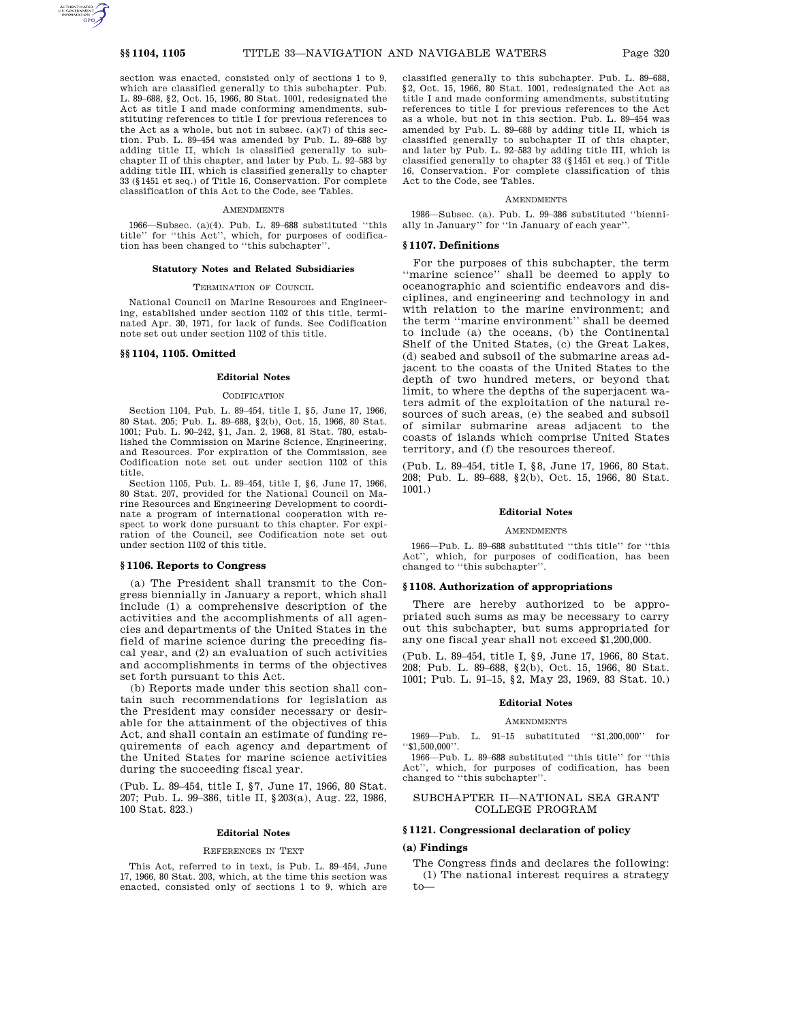section was enacted, consisted only of sections 1 to 9, which are classified generally to this subchapter. Pub. L. 89–688, §2, Oct. 15, 1966, 80 Stat. 1001, redesignated the Act as title I and made conforming amendments, substituting references to title I for previous references to the Act as a whole, but not in subsec.  $(a)(7)$  of this section. Pub. L. 89–454 was amended by Pub. L. 89–688 by adding title II, which is classified generally to sub-

chapter II of this chapter, and later by Pub. L. 92–583 by adding title III, which is classified generally to chapter 33 (§1451 et seq.) of Title 16, Conservation. For complete classification of this Act to the Code, see Tables.

# AMENDMENTS

1966—Subsec. (a)(4). Pub. L. 89–688 substituted ''this title'' for ''this Act'', which, for purposes of codification has been changed to ''this subchapter''.

### **Statutory Notes and Related Subsidiaries**

#### TERMINATION OF COUNCIL

National Council on Marine Resources and Engineering, established under section 1102 of this title, terminated Apr. 30, 1971, for lack of funds. See Codification note set out under section 1102 of this title.

# **§§ 1104, 1105. Omitted**

### **Editorial Notes**

# **CODIFICATION**

Section 1104, Pub. L. 89–454, title I, §5, June 17, 1966, 80 Stat. 205; Pub. L. 89–688, §2(b), Oct. 15, 1966, 80 Stat. 1001; Pub. L. 90–242, §1, Jan. 2, 1968, 81 Stat. 780, established the Commission on Marine Science, Engineering, and Resources. For expiration of the Commission, see Codification note set out under section 1102 of this title.

Section 1105, Pub. L. 89–454, title I, §6, June 17, 1966, 80 Stat. 207, provided for the National Council on Marine Resources and Engineering Development to coordinate a program of international cooperation with respect to work done pursuant to this chapter. For expiration of the Council, see Codification note set out under section 1102 of this title.

# **§ 1106. Reports to Congress**

(a) The President shall transmit to the Congress biennially in January a report, which shall include (1) a comprehensive description of the activities and the accomplishments of all agencies and departments of the United States in the field of marine science during the preceding fiscal year, and (2) an evaluation of such activities and accomplishments in terms of the objectives set forth pursuant to this Act.

(b) Reports made under this section shall contain such recommendations for legislation as the President may consider necessary or desirable for the attainment of the objectives of this Act, and shall contain an estimate of funding requirements of each agency and department of the United States for marine science activities during the succeeding fiscal year.

(Pub. L. 89–454, title I, §7, June 17, 1966, 80 Stat. 207; Pub. L. 99–386, title II, §203(a), Aug. 22, 1986, 100 Stat. 823.)

#### **Editorial Notes**

#### REFERENCES IN TEXT

This Act, referred to in text, is Pub. L. 89–454, June 17, 1966, 80 Stat. 203, which, at the time this section was enacted, consisted only of sections 1 to 9, which are

classified generally to this subchapter. Pub. L. 89–688, §2, Oct. 15, 1966, 80 Stat. 1001, redesignated the Act as title I and made conforming amendments, substituting references to title I for previous references to the Act as a whole, but not in this section. Pub. L. 89–454 was amended by Pub. L. 89–688 by adding title II, which is classified generally to subchapter II of this chapter, and later by Pub. L. 92–583 by adding title III, which is classified generally to chapter 33 (§1451 et seq.) of Title 16, Conservation. For complete classification of this Act to the Code, see Tables.

#### AMENDMENTS

1986—Subsec. (a). Pub. L. 99–386 substituted ''biennially in January'' for ''in January of each year''.

# **§ 1107. Definitions**

For the purposes of this subchapter, the term ''marine science'' shall be deemed to apply to oceanographic and scientific endeavors and disciplines, and engineering and technology in and with relation to the marine environment; and the term ''marine environment'' shall be deemed to include (a) the oceans, (b) the Continental Shelf of the United States, (c) the Great Lakes, (d) seabed and subsoil of the submarine areas adjacent to the coasts of the United States to the depth of two hundred meters, or beyond that limit, to where the depths of the superjacent waters admit of the exploitation of the natural resources of such areas, (e) the seabed and subsoil of similar submarine areas adjacent to the coasts of islands which comprise United States territory, and (f) the resources thereof.

(Pub. L. 89–454, title I, §8, June 17, 1966, 80 Stat. 208; Pub. L. 89–688, §2(b), Oct. 15, 1966, 80 Stat. 1001.)

# **Editorial Notes**

### AMENDMENTS

1966—Pub. L. 89–688 substituted ''this title'' for ''this Act'', which, for purposes of codification, has been changed to ''this subchapter''.

# **§ 1108. Authorization of appropriations**

There are hereby authorized to be appropriated such sums as may be necessary to carry out this subchapter, but sums appropriated for any one fiscal year shall not exceed \$1,200,000.

(Pub. L. 89–454, title I, §9, June 17, 1966, 80 Stat. 208; Pub. L. 89–688, §2(b), Oct. 15, 1966, 80 Stat. 1001; Pub. L. 91–15, §2, May 23, 1969, 83 Stat. 10.)

# **Editorial Notes**

#### AMENDMENTS

1969—Pub. L. 91–15 substituted ''\$1,200,000'' for ''\$1,500,000''.

1966—Pub. L. 89–688 substituted ''this title'' for ''this Act'', which, for purposes of codification, has been changed to ''this subchapter''.

# SUBCHAPTER II—NATIONAL SEA GRANT COLLEGE PROGRAM

# **§ 1121. Congressional declaration of policy**

### **(a) Findings**

The Congress finds and declares the following: (1) The national interest requires a strategy

to—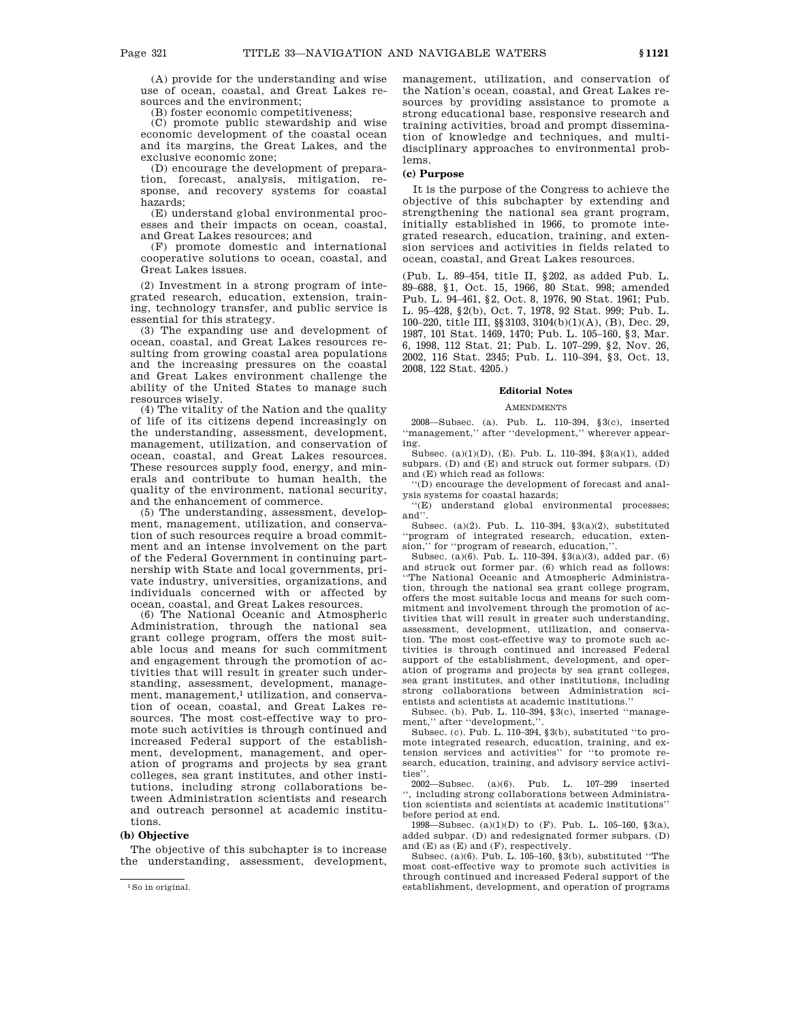(A) provide for the understanding and wise use of ocean, coastal, and Great Lakes resources and the environment;

(B) foster economic competitiveness;

(C) promote public stewardship and wise economic development of the coastal ocean and its margins, the Great Lakes, and the exclusive economic zone;

(D) encourage the development of preparation, forecast, analysis, mitigation, response, and recovery systems for coastal hazards;

(E) understand global environmental processes and their impacts on ocean, coastal, and Great Lakes resources; and

(F) promote domestic and international cooperative solutions to ocean, coastal, and Great Lakes issues.

(2) Investment in a strong program of integrated research, education, extension, training, technology transfer, and public service is essential for this strategy.

(3) The expanding use and development of ocean, coastal, and Great Lakes resources resulting from growing coastal area populations and the increasing pressures on the coastal and Great Lakes environment challenge the ability of the United States to manage such resources wisely.

(4) The vitality of the Nation and the quality of life of its citizens depend increasingly on the understanding, assessment, development, management, utilization, and conservation of ocean, coastal, and Great Lakes resources. These resources supply food, energy, and minerals and contribute to human health, the quality of the environment, national security, and the enhancement of commerce.

(5) The understanding, assessment, development, management, utilization, and conservation of such resources require a broad commitment and an intense involvement on the part of the Federal Government in continuing partnership with State and local governments, private industry, universities, organizations, and individuals concerned with or affected by ocean, coastal, and Great Lakes resources.

(6) The National Oceanic and Atmospheric Administration, through the national sea grant college program, offers the most suitable locus and means for such commitment and engagement through the promotion of activities that will result in greater such understanding, assessment, development, management, management,<sup>1</sup> utilization, and conservation of ocean, coastal, and Great Lakes resources. The most cost-effective way to promote such activities is through continued and increased Federal support of the establishment, development, management, and operation of programs and projects by sea grant colleges, sea grant institutes, and other institutions, including strong collaborations between Administration scientists and research and outreach personnel at academic institutions.

# **(b) Objective**

The objective of this subchapter is to increase the understanding, assessment, development, management, utilization, and conservation of the Nation's ocean, coastal, and Great Lakes resources by providing assistance to promote a strong educational base, responsive research and training activities, broad and prompt dissemination of knowledge and techniques, and multidisciplinary approaches to environmental problems.

# **(c) Purpose**

It is the purpose of the Congress to achieve the objective of this subchapter by extending and strengthening the national sea grant program, initially established in 1966, to promote integrated research, education, training, and extension services and activities in fields related to ocean, coastal, and Great Lakes resources.

(Pub. L. 89–454, title II, §202, as added Pub. L. 89–688, §1, Oct. 15, 1966, 80 Stat. 998; amended Pub. L. 94–461, §2, Oct. 8, 1976, 90 Stat. 1961; Pub. L. 95–428, §2(b), Oct. 7, 1978, 92 Stat. 999; Pub. L. 100–220, title III, §§3103, 3104(b)(1)(A), (B), Dec. 29, 1987, 101 Stat. 1469, 1470; Pub. L. 105–160, §3, Mar. 6, 1998, 112 Stat. 21; Pub. L. 107–299, §2, Nov. 26, 2002, 116 Stat. 2345; Pub. L. 110–394, §3, Oct. 13, 2008, 122 Stat. 4205.)

# **Editorial Notes**

#### **AMENDMENTS**

2008—Subsec. (a). Pub. L. 110–394, §3(c), inserted ''management,'' after ''development,'' wherever appearing.

Subsec. (a)(1)(D), (E). Pub. L. 110–394, §3(a)(1), added subpars. (D) and (E) and struck out former subpars. (D) and (E) which read as follows:

''(D) encourage the development of forecast and analysis systems for coastal hazards;

''(E) understand global environmental processes; and''.

Subsec. (a)(2). Pub. L. 110–394, §3(a)(2), substituted ''program of integrated research, education, extension," for "program of research, education,"

Subsec. (a)(6). Pub. L. 110–394, §3(a)(3), added par. (6) and struck out former par. (6) which read as follows: ''The National Oceanic and Atmospheric Administration, through the national sea grant college program, offers the most suitable locus and means for such commitment and involvement through the promotion of activities that will result in greater such understanding, assessment, development, utilization, and conservation. The most cost-effective way to promote such activities is through continued and increased Federal support of the establishment, development, and operation of programs and projects by sea grant colleges, sea grant institutes, and other institutions, including strong collaborations between Administration scientists and scientists at academic institutions.''

Subsec. (b). Pub. L. 110–394, §3(c), inserted ''management,'' after ''development,''.

Subsec. (c). Pub. L. 110–394, §3(b), substituted ''to promote integrated research, education, training, and extension services and activities'' for ''to promote research, education, training, and advisory service activities'

2002—Subsec. (a)(6). Pub. L. 107–299 inserted '', including strong collaborations between Administration scientists and scientists at academic institutions'' before period at end.

1998—Subsec. (a)(1)(D) to (F). Pub. L. 105–160, §3(a), added subpar. (D) and redesignated former subpars. (D) and (E) as (E) and (F), respectively.

Subsec. (a)(6). Pub. L. 105–160,  $\S3(b),$  substituted ''The most cost-effective way to promote such activities is through continued and increased Federal support of the establishment, development, and operation of programs

<sup>1</sup>So in original.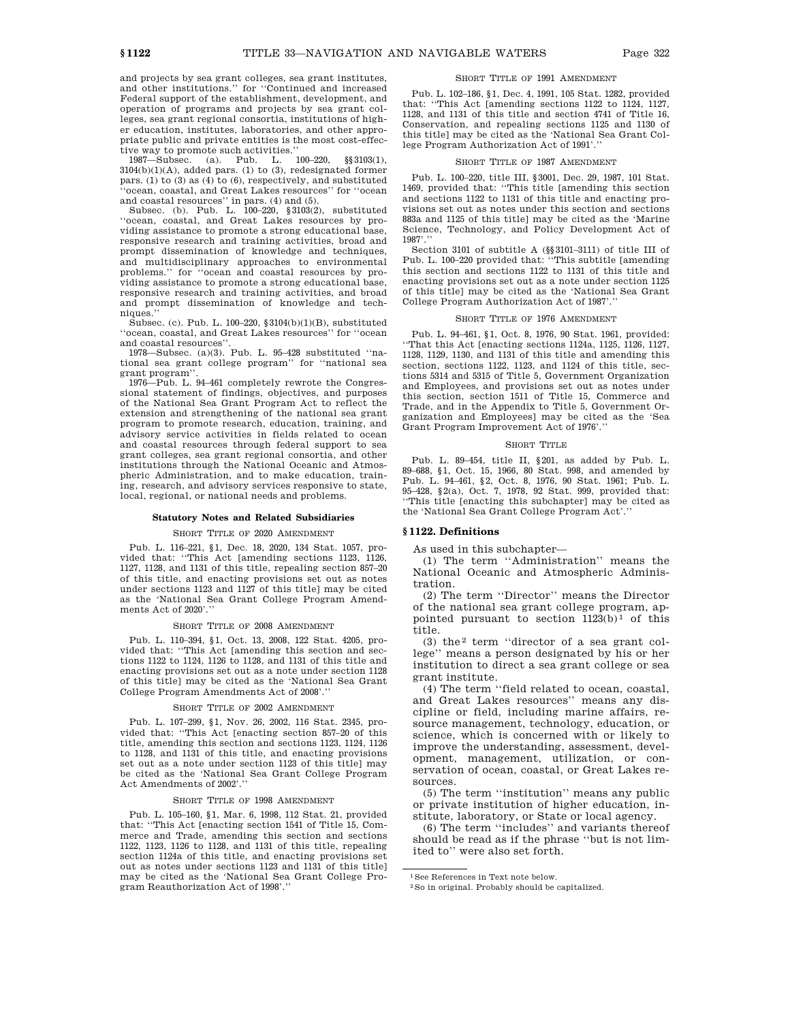and projects by sea grant colleges, sea grant institutes, and other institutions.'' for ''Continued and increased Federal support of the establishment, development, and operation of programs and projects by sea grant colleges, sea grant regional consortia, institutions of higher education, institutes, laboratories, and other appropriate public and private entities is the most cost-effec-

tive way to promote such activities.'' 1987—Subsec. (a). Pub. L. 100–220, §§3103(1), 3104(b)(1)(A), added pars. (1) to (3), redesignated former pars. (1) to (3) as (4) to (6), respectively, and substituted 'ocean, coastal, and Great Lakes resources" for "ocean and coastal resources'' in pars. (4) and (5).

Subsec. (b). Pub. L. 100–220, §3103(2), substituted ''ocean, coastal, and Great Lakes resources by providing assistance to promote a strong educational base, responsive research and training activities, broad and prompt dissemination of knowledge and techniques, and multidisciplinary approaches to environmental problems.'' for ''ocean and coastal resources by providing assistance to promote a strong educational base, responsive research and training activities, and broad and prompt dissemination of knowledge and techniques.''

Subsec. (c). Pub. L. 100–220, §3104(b)(1)(B), substituted ''ocean, coastal, and Great Lakes resources'' for ''ocean and coastal resources''.

1978—Subsec. (a)(3). Pub. L. 95–428 substituted ''national sea grant college program'' for ''national sea grant program''.

1976—Pub. L. 94–461 completely rewrote the Congressional statement of findings, objectives, and purposes of the National Sea Grant Program Act to reflect the extension and strengthening of the national sea grant program to promote research, education, training, and advisory service activities in fields related to ocean and coastal resources through federal support to sea grant colleges, sea grant regional consortia, and other institutions through the National Oceanic and Atmospheric Administration, and to make education, training, research, and advisory services responsive to state, local, regional, or national needs and problems.

# **Statutory Notes and Related Subsidiaries**

#### SHORT TITLE OF 2020 AMENDMENT

Pub. L. 116–221, §1, Dec. 18, 2020, 134 Stat. 1057, provided that: ''This Act [amending sections 1123, 1126, 1127, 1128, and 1131 of this title, repealing section 857–20 of this title, and enacting provisions set out as notes under sections 1123 and 1127 of this title] may be cited as the 'National Sea Grant College Program Amendments Act of 2020'.''

# SHORT TITLE OF 2008 AMENDMENT

Pub. L. 110–394, §1, Oct. 13, 2008, 122 Stat. 4205, provided that: ''This Act [amending this section and sections 1122 to 1124, 1126 to 1128, and 1131 of this title and enacting provisions set out as a note under section 1128 of this title] may be cited as the 'National Sea Grant College Program Amendments Act of 2008'.''

# SHORT TITLE OF 2002 AMENDMENT

Pub. L. 107–299, §1, Nov. 26, 2002, 116 Stat. 2345, provided that: ''This Act [enacting section 857–20 of this title, amending this section and sections 1123, 1124, 1126 to 1128, and 1131 of this title, and enacting provisions set out as a note under section 1123 of this title] may be cited as the 'National Sea Grant College Program Act Amendments of 2002'.''

# SHORT TITLE OF 1998 AMENDMENT

Pub. L. 105–160, §1, Mar. 6, 1998, 112 Stat. 21, provided that: ''This Act [enacting section 1541 of Title 15, Commerce and Trade, amending this section and sections 1122, 1123, 1126 to 1128, and 1131 of this title, repealing section 1124a of this title, and enacting provisions set out as notes under sections 1123 and 1131 of this title] may be cited as the 'National Sea Grant College Program Reauthorization Act of 1998'.''

# SHORT TITLE OF 1991 AMENDMENT

Pub. L. 102–186, §1, Dec. 4, 1991, 105 Stat. 1282, provided that: ''This Act [amending sections 1122 to 1124, 1127, 1128, and 1131 of this title and section 4741 of Title 16, Conservation, and repealing sections 1125 and 1130 of this title] may be cited as the 'National Sea Grant College Program Authorization Act of 1991'.

### SHORT TITLE OF 1987 AMENDMENT

Pub. L. 100–220, title III, §3001, Dec. 29, 1987, 101 Stat. 1469, provided that: ''This title [amending this section and sections 1122 to 1131 of this title and enacting provisions set out as notes under this section and sections 883a and 1125 of this title] may be cited as the 'Marine Science, Technology, and Policy Development Act of 1987'.''

Section 3101 of subtitle A (§§3101–3111) of title III of Pub. L. 100–220 provided that: ''This subtitle [amending this section and sections 1122 to 1131 of this title and enacting provisions set out as a note under section 1125 of this title] may be cited as the 'National Sea Grant College Program Authorization Act of 1987'.''

# SHORT TITLE OF 1976 AMENDMENT

Pub. L. 94–461, §1, Oct. 8, 1976, 90 Stat. 1961, provided: ''That this Act [enacting sections 1124a, 1125, 1126, 1127, 1128, 1129, 1130, and 1131 of this title and amending this section, sections 1122, 1123, and 1124 of this title, sections 5314 and 5315 of Title 5, Government Organization and Employees, and provisions set out as notes under this section, section 1511 of Title 15, Commerce and Trade, and in the Appendix to Title 5, Government Organization and Employees] may be cited as the 'Sea Grant Program Improvement Act of 1976'.''

### SHORT TITLE

Pub. L. 89–454, title II, §201, as added by Pub. L. 89–688, §1, Oct. 15, 1966, 80 Stat. 998, and amended by Pub. L. 94–461, §2, Oct. 8, 1976, 90 Stat. 1961; Pub. L. 95–428, §2(a), Oct. 7, 1978, 92 Stat. 999, provided that: ''This title [enacting this subchapter] may be cited as the 'National Sea Grant College Program Act'.''

# **§ 1122. Definitions**

As used in this subchapter—

(1) The term ''Administration'' means the National Oceanic and Atmospheric Administration.

(2) The term ''Director'' means the Director of the national sea grant college program, appointed pursuant to section  $1123(b)^1$  of this title.

(3) the 2 term ''director of a sea grant college'' means a person designated by his or her institution to direct a sea grant college or sea grant institute.

(4) The term ''field related to ocean, coastal, and Great Lakes resources'' means any discipline or field, including marine affairs, resource management, technology, education, or science, which is concerned with or likely to improve the understanding, assessment, development, management, utilization, or conservation of ocean, coastal, or Great Lakes resources.

(5) The term ''institution'' means any public or private institution of higher education, institute, laboratory, or State or local agency.

(6) The term ''includes'' and variants thereof should be read as if the phrase ''but is not limited to'' were also set forth.

<sup>1</sup>See References in Text note below.

<sup>2</sup>So in original. Probably should be capitalized.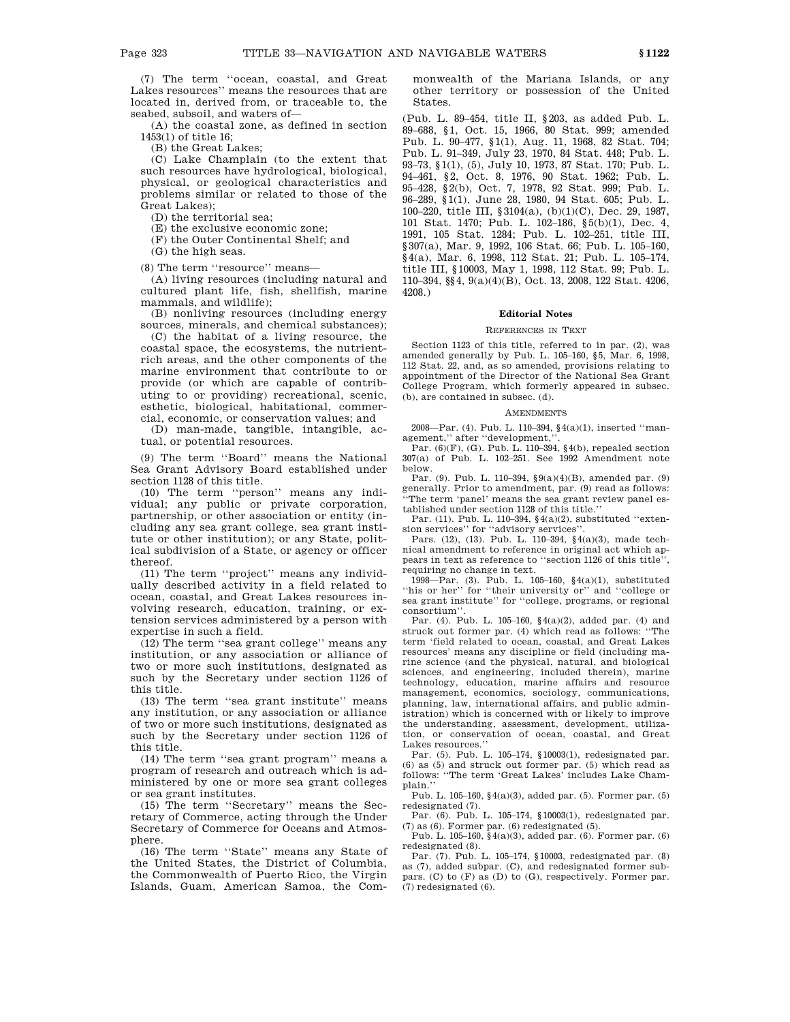(7) The term ''ocean, coastal, and Great Lakes resources'' means the resources that are located in, derived from, or traceable to, the seabed, subsoil, and waters of—

(A) the coastal zone, as defined in section 1453(1) of title 16;

(B) the Great Lakes;

(C) Lake Champlain (to the extent that such resources have hydrological, biological, physical, or geological characteristics and problems similar or related to those of the Great Lakes);

(D) the territorial sea;

(E) the exclusive economic zone;

(F) the Outer Continental Shelf; and

(G) the high seas.

(8) The term ''resource'' means—

(A) living resources (including natural and cultured plant life, fish, shellfish, marine mammals, and wildlife);

(B) nonliving resources (including energy sources, minerals, and chemical substances);

(C) the habitat of a living resource, the coastal space, the ecosystems, the nutrientrich areas, and the other components of the marine environment that contribute to or provide (or which are capable of contributing to or providing) recreational, scenic, esthetic, biological, habitational, commercial, economic, or conservation values; and

(D) man-made, tangible, intangible, actual, or potential resources.

(9) The term ''Board'' means the National Sea Grant Advisory Board established under section 1128 of this title.

(10) The term ''person'' means any individual; any public or private corporation, partnership, or other association or entity (including any sea grant college, sea grant institute or other institution); or any State, political subdivision of a State, or agency or officer thereof.

(11) The term ''project'' means any individually described activity in a field related to ocean, coastal, and Great Lakes resources involving research, education, training, or extension services administered by a person with expertise in such a field.

(12) The term ''sea grant college'' means any institution, or any association or alliance of two or more such institutions, designated as such by the Secretary under section 1126 of this title.

(13) The term ''sea grant institute'' means any institution, or any association or alliance of two or more such institutions, designated as such by the Secretary under section 1126 of this title.

(14) The term ''sea grant program'' means a program of research and outreach which is administered by one or more sea grant colleges or sea grant institutes.

(15) The term ''Secretary'' means the Secretary of Commerce, acting through the Under Secretary of Commerce for Oceans and Atmosphere.

(16) The term ''State'' means any State of the United States, the District of Columbia, the Commonwealth of Puerto Rico, the Virgin Islands, Guam, American Samoa, the Commonwealth of the Mariana Islands, or any other territory or possession of the United States.

(Pub. L. 89–454, title II, §203, as added Pub. L. 89–688, §1, Oct. 15, 1966, 80 Stat. 999; amended Pub. L. 90–477, §1(1), Aug. 11, 1968, 82 Stat. 704; Pub. L. 91–349, July 23, 1970, 84 Stat. 448; Pub. L. 93–73, §1(1), (5), July 10, 1973, 87 Stat. 170; Pub. L. 94–461, §2, Oct. 8, 1976, 90 Stat. 1962; Pub. L. 95–428, §2(b), Oct. 7, 1978, 92 Stat. 999; Pub. L. 96–289, §1(1), June 28, 1980, 94 Stat. 605; Pub. L. 100–220, title III, §3104(a), (b)(1)(C), Dec. 29, 1987, 101 Stat. 1470; Pub. L. 102–186, §5(b)(1), Dec. 4, 1991, 105 Stat. 1284; Pub. L. 102–251, title III, §307(a), Mar. 9, 1992, 106 Stat. 66; Pub. L. 105–160, §4(a), Mar. 6, 1998, 112 Stat. 21; Pub. L. 105–174, title III, §10003, May 1, 1998, 112 Stat. 99; Pub. L. 110–394, §§4, 9(a)(4)(B), Oct. 13, 2008, 122 Stat. 4206, 4208.)

# **Editorial Notes**

#### REFERENCES IN TEXT

Section 1123 of this title, referred to in par. (2), was amended generally by Pub. L. 105–160, §5, Mar. 6, 1998, 112 Stat. 22, and, as so amended, provisions relating to appointment of the Director of the National Sea Grant College Program, which formerly appeared in subsec. (b), are contained in subsec. (d).

### **AMENDMENTS**

2008—Par. (4). Pub. L. 110–394, §4(a)(1), inserted ''management," after "development,

Par. (6)(F), (G). Pub. L. 110–394, §4(b), repealed section 307(a) of Pub. L. 102–251. See 1992 Amendment note below.

Par. (9). Pub. L. 110–394, §9(a)(4)(B), amended par. (9) generally. Prior to amendment, par. (9) read as follows: ''The term 'panel' means the sea grant review panel es-

tablished under section 1128 of this title.''

Par. (11). Pub. L. 110–394, §4(a)(2), substituted ''exten-sion services'' for ''advisory services''.

Pars. (12), (13). Pub. L. 110–394, §4(a)(3), made technical amendment to reference in original act which appears in text as reference to ''section 1126 of this title'', requiring no change in text.

1998—Par. (3). Pub. L. 105–160, §4(a)(1), substituted ''his or her'' for ''their university or'' and ''college or sea grant institute'' for ''college, programs, or regional consortium''.

Par. (4). Pub. L. 105–160, §4(a)(2), added par. (4) and struck out former par. (4) which read as follows: "The term 'field related to ocean, coastal, and Great Lakes resources' means any discipline or field (including marine science (and the physical, natural, and biological sciences, and engineering, included therein), marine technology, education, marine affairs and resource management, economics, sociology, communications, planning, law, international affairs, and public administration) which is concerned with or likely to improve the understanding, assessment, development, utilization, or conservation of ocean, coastal, and Great Lakes resources.''

Par. (5). Pub. L. 105–174, §10003(1), redesignated par. (6) as (5) and struck out former par. (5) which read as follows: ''The term 'Great Lakes' includes Lake Champlain.''

Pub. L. 105–160, §4(a)(3), added par. (5). Former par. (5) redesignated (7).

Par. (6). Pub. L. 105–174, §10003(1), redesignated par.  $(7)$  as  $(6)$ . Former par.  $(6)$  redesignated  $(5)$ .

Pub. L. 105–160, §4(a)(3), added par. (6). Former par. (6) redesignated (8).

Par. (7). Pub. L. 105–174, §10003, redesignated par. (8) as (7), added subpar. (C), and redesignated former subpars. (C) to (F) as (D) to (G), respectively. Former par. (7) redesignated (6).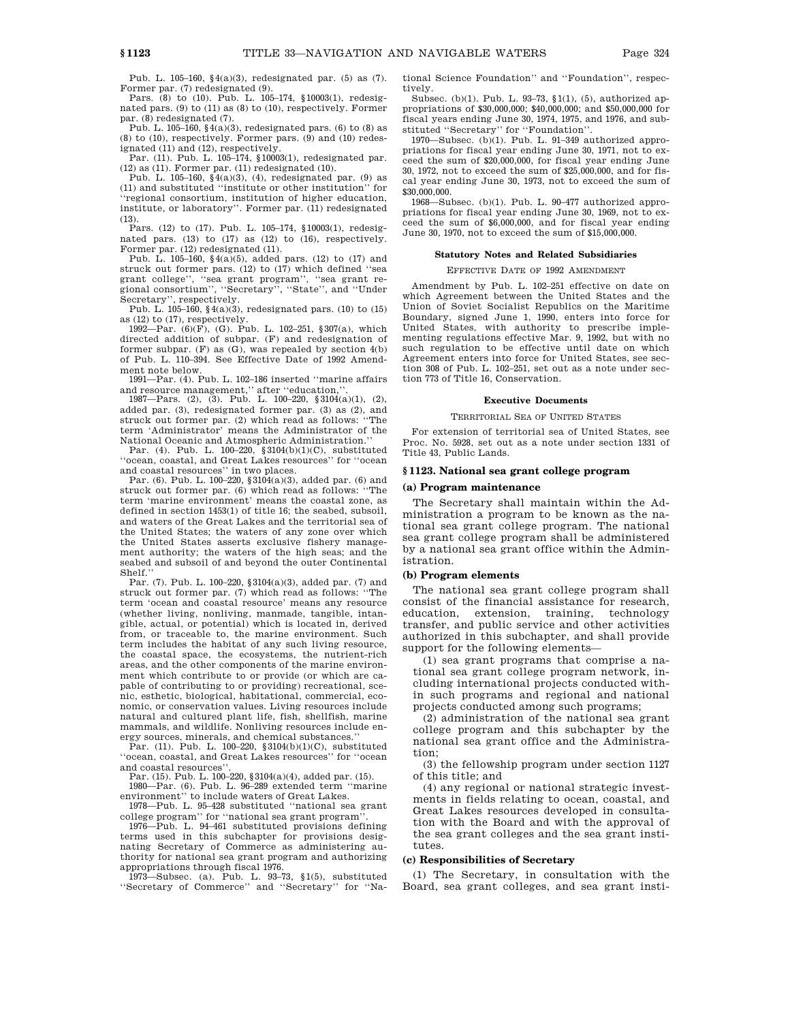Pub. L. 105–160, §4(a)(3), redesignated par. (5) as (7).

Former par. (7) redesignated (9). Pars. (8) to (10). Pub. L. 105–174, §10003(1), redesignated pars. (9) to (11) as (8) to (10), respectively. Former par. (8) redesignated (7).

Pub. L. 105–160,  $\S4(a)(3),$  redesignated pars.  $(6)$  to  $(8)$  as (8) to (10), respectively. Former pars. (9) and (10) redesignated (11) and (12), respectively.

Par. (11). Pub. L. 105–174, §10003(1), redesignated par. (12) as (11). Former par. (11) redesignated (10).

Pub. L. 105–160, §4(a)(3), (4), redesignated par. (9) as (11) and substituted ''institute or other institution'' for 'regional consortium, institution of higher education, institute, or laboratory". Former par.  $(11)$  redesignated (13).

Pars. (12) to (17). Pub. L. 105–174, §10003(1), redesignated pars. (13) to (17) as (12) to (16), respectively. Former par. (12) redesignated (11).

Pub. L. 105–160, §4(a)(5), added pars. (12) to (17) and struck out former pars.  $(12)$  to  $(17)$  which defined "sea grant college'', ''sea grant program'', ''sea grant regional consortium'', ''Secretary'', ''State'', and ''Under Secretary'', respectively.

Pub. L. 105–160, §4(a)(3), redesignated pars. (10) to (15) as (12) to (17), respectively.

1992—Par. (6)(F), (G). Pub. L. 102–251, §307(a), which directed addition of subpar. (F) and redesignation of former subpar. (F) as (G), was repealed by section 4(b) of Pub. L. 110–394. See Effective Date of 1992 Amendment note below.

1991—Par. (4). Pub. L. 102–186 inserted ''marine affairs and resource management," after "education,".<br>1987—Pars. (2), (3). Pub. L. 100–220, §3104(a)(1), (2),

added par. (3), redesignated former par. (3) as (2), and struck out former par. (2) which read as follows: ''The term 'Administrator' means the Administrator of the National Oceanic and Atmospheric Administration.''

Par. (4). Pub. L. 100–220, §3104(b)(1)(C), substituted ''ocean, coastal, and Great Lakes resources'' for ''ocean

and coastal resources'' in two places. Par. (6). Pub. L. 100–220, §3104(a)(3), added par. (6) and struck out former par. (6) which read as follows: ''The term 'marine environment' means the coastal zone, as defined in section 1453(1) of title 16; the seabed, subsoil, and waters of the Great Lakes and the territorial sea of the United States; the waters of any zone over which the United States asserts exclusive fishery management authority; the waters of the high seas; and the seabed and subsoil of and beyond the outer Continental Shelf.''

Par. (7). Pub. L. 100–220, §3104(a)(3), added par. (7) and struck out former par. (7) which read as follows: ''The term 'ocean and coastal resource' means any resource (whether living, nonliving, manmade, tangible, intangible, actual, or potential) which is located in, derived from, or traceable to, the marine environment. Such term includes the habitat of any such living resource, the coastal space, the ecosystems, the nutrient-rich areas, and the other components of the marine environment which contribute to or provide (or which are capable of contributing to or providing) recreational, scenic, esthetic, biological, habitational, commercial, economic, or conservation values. Living resources include natural and cultured plant life, fish, shellfish, marine mammals, and wildlife. Nonliving resources include energy sources, minerals, and chemical substances.

Par. (11). Pub. L. 100–220, §3104(b)(1)(C), substituted ''ocean, coastal, and Great Lakes resources'' for ''ocean and coastal resources''.

Par. (15). Pub. L. 100–220, §3104(a)(4), added par. (15).

1980—Par. (6). Pub. L. 96–289 extended term ''marine environment'' to include waters of Great Lakes.

1978—Pub. L. 95–428 substituted ''national sea grant college program" for "national sea grant program"

1976—Pub. L. 94–461 substituted provisions defining terms used in this subchapter for provisions designating Secretary of Commerce as administering authority for national sea grant program and authorizing appropriations through fiscal 1976.

1973—Subsec. (a). Pub. L. 93–73, §1(5), substituted ''Secretary of Commerce'' and ''Secretary'' for ''National Science Foundation'' and ''Foundation'', respectively.

Subsec. (b)(1). Pub. L. 93–73, §1(1), (5), authorized appropriations of \$30,000,000; \$40,000,000; and \$50,000,000 for fiscal years ending June 30, 1974, 1975, and 1976, and substituted ''Secretary'' for ''Foundation''.

1970—Subsec. (b)(1). Pub. L. 91–349 authorized appropriations for fiscal year ending June 30, 1971, not to exceed the sum of \$20,000,000, for fiscal year ending June 30, 1972, not to exceed the sum of \$25,000,000, and for fiscal year ending June 30, 1973, not to exceed the sum of \$30,000,000.

1968—Subsec. (b)(1). Pub. L. 90–477 authorized appropriations for fiscal year ending June 30, 1969, not to exceed the sum of \$6,000,000, and for fiscal year ending June 30, 1970, not to exceed the sum of \$15,000,000.

# **Statutory Notes and Related Subsidiaries**

### EFFECTIVE DATE OF 1992 AMENDMENT

Amendment by Pub. L. 102–251 effective on date on which Agreement between the United States and the Union of Soviet Socialist Republics on the Maritime Boundary, signed June 1, 1990, enters into force for United States, with authority to prescribe implementing regulations effective Mar. 9, 1992, but with no such regulation to be effective until date on which Agreement enters into force for United States, see section 308 of Pub. L. 102–251, set out as a note under section 773 of Title 16, Conservation.

#### **Executive Documents**

### TERRITORIAL SEA OF UNITED STATES

For extension of territorial sea of United States, see Proc. No. 5928, set out as a note under section 1331 of Title 43, Public Lands.

### **§ 1123. National sea grant college program**

# **(a) Program maintenance**

The Secretary shall maintain within the Administration a program to be known as the national sea grant college program. The national sea grant college program shall be administered by a national sea grant office within the Administration.

# **(b) Program elements**

The national sea grant college program shall consist of the financial assistance for research, education, extension, training, technology transfer, and public service and other activities authorized in this subchapter, and shall provide support for the following elements—

(1) sea grant programs that comprise a national sea grant college program network, including international projects conducted within such programs and regional and national projects conducted among such programs;

(2) administration of the national sea grant college program and this subchapter by the national sea grant office and the Administration;

(3) the fellowship program under section 1127 of this title; and

(4) any regional or national strategic investments in fields relating to ocean, coastal, and Great Lakes resources developed in consultation with the Board and with the approval of the sea grant colleges and the sea grant institutes.

# **(c) Responsibilities of Secretary**

(1) The Secretary, in consultation with the Board, sea grant colleges, and sea grant insti-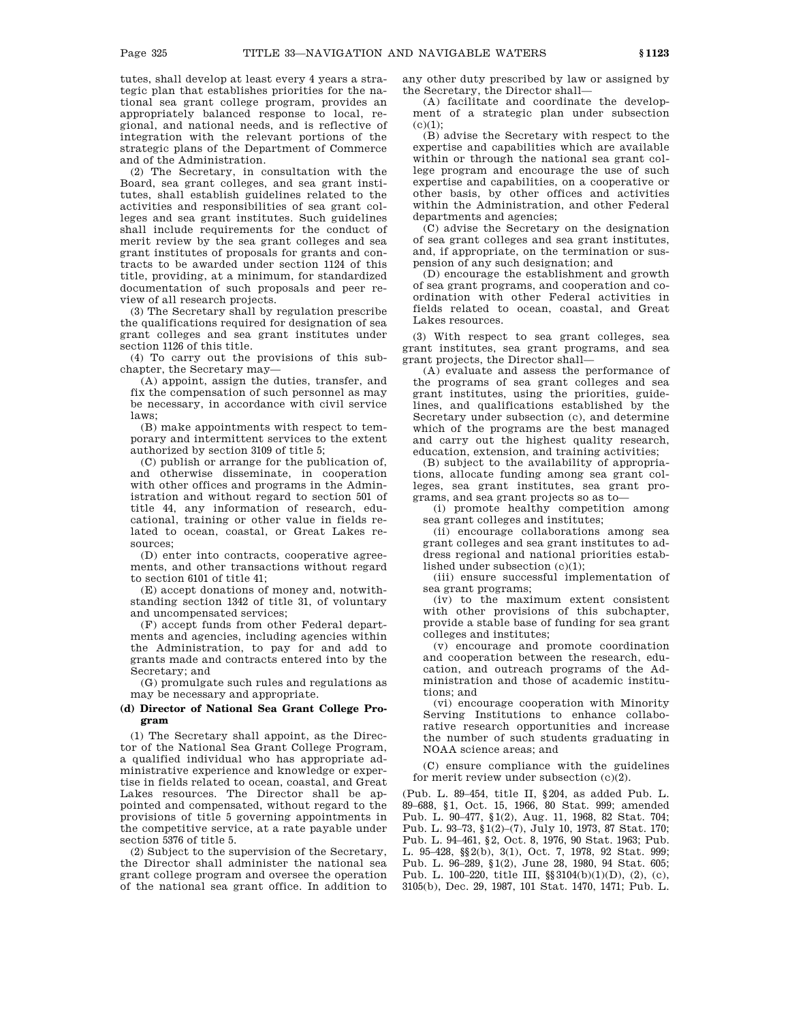tutes, shall develop at least every 4 years a strategic plan that establishes priorities for the national sea grant college program, provides an appropriately balanced response to local, regional, and national needs, and is reflective of integration with the relevant portions of the strategic plans of the Department of Commerce and of the Administration.

(2) The Secretary, in consultation with the Board, sea grant colleges, and sea grant institutes, shall establish guidelines related to the activities and responsibilities of sea grant colleges and sea grant institutes. Such guidelines shall include requirements for the conduct of merit review by the sea grant colleges and sea grant institutes of proposals for grants and contracts to be awarded under section 1124 of this title, providing, at a minimum, for standardized documentation of such proposals and peer review of all research projects.

(3) The Secretary shall by regulation prescribe the qualifications required for designation of sea grant colleges and sea grant institutes under section 1126 of this title.

(4) To carry out the provisions of this subchapter, the Secretary may—

(A) appoint, assign the duties, transfer, and fix the compensation of such personnel as may be necessary, in accordance with civil service laws;

(B) make appointments with respect to temporary and intermittent services to the extent authorized by section 3109 of title 5;

(C) publish or arrange for the publication of, and otherwise disseminate, in cooperation with other offices and programs in the Administration and without regard to section 501 of title 44, any information of research, educational, training or other value in fields related to ocean, coastal, or Great Lakes resources;

(D) enter into contracts, cooperative agreements, and other transactions without regard to section 6101 of title 41;

(E) accept donations of money and, notwithstanding section 1342 of title 31, of voluntary and uncompensated services;

(F) accept funds from other Federal departments and agencies, including agencies within the Administration, to pay for and add to grants made and contracts entered into by the Secretary; and

(G) promulgate such rules and regulations as may be necessary and appropriate.

# **(d) Director of National Sea Grant College Program**

(1) The Secretary shall appoint, as the Director of the National Sea Grant College Program, a qualified individual who has appropriate administrative experience and knowledge or expertise in fields related to ocean, coastal, and Great Lakes resources. The Director shall be appointed and compensated, without regard to the provisions of title 5 governing appointments in the competitive service, at a rate payable under section 5376 of title 5.

(2) Subject to the supervision of the Secretary, the Director shall administer the national sea grant college program and oversee the operation of the national sea grant office. In addition to any other duty prescribed by law or assigned by the Secretary, the Director shall—

(A) facilitate and coordinate the development of a strategic plan under subsection  $(c)(1)$ ;

(B) advise the Secretary with respect to the expertise and capabilities which are available within or through the national sea grant college program and encourage the use of such expertise and capabilities, on a cooperative or other basis, by other offices and activities within the Administration, and other Federal departments and agencies;

(C) advise the Secretary on the designation of sea grant colleges and sea grant institutes, and, if appropriate, on the termination or suspension of any such designation; and

(D) encourage the establishment and growth of sea grant programs, and cooperation and coordination with other Federal activities in fields related to ocean, coastal, and Great Lakes resources.

(3) With respect to sea grant colleges, sea grant institutes, sea grant programs, and sea grant projects, the Director shall—

(A) evaluate and assess the performance of the programs of sea grant colleges and sea grant institutes, using the priorities, guidelines, and qualifications established by the Secretary under subsection (c), and determine which of the programs are the best managed and carry out the highest quality research, education, extension, and training activities;

(B) subject to the availability of appropriations, allocate funding among sea grant colleges, sea grant institutes, sea grant programs, and sea grant projects so as to—

(i) promote healthy competition among sea grant colleges and institutes;

(ii) encourage collaborations among sea grant colleges and sea grant institutes to address regional and national priorities established under subsection (c)(1);

(iii) ensure successful implementation of sea grant programs;

(iv) to the maximum extent consistent with other provisions of this subchapter, provide a stable base of funding for sea grant colleges and institutes;

(v) encourage and promote coordination and cooperation between the research, education, and outreach programs of the Administration and those of academic institutions; and

(vi) encourage cooperation with Minority Serving Institutions to enhance collaborative research opportunities and increase the number of such students graduating in NOAA science areas; and

(C) ensure compliance with the guidelines for merit review under subsection (c)(2).

(Pub. L. 89–454, title II, §204, as added Pub. L. 89–688, §1, Oct. 15, 1966, 80 Stat. 999; amended Pub. L. 90–477, §1(2), Aug. 11, 1968, 82 Stat. 704; Pub. L. 93–73, §1(2)–(7), July 10, 1973, 87 Stat. 170; Pub. L. 94–461, §2, Oct. 8, 1976, 90 Stat. 1963; Pub. L. 95–428, §§2(b), 3(1), Oct. 7, 1978, 92 Stat. 999; Pub. L. 96–289, §1(2), June 28, 1980, 94 Stat. 605; Pub. L. 100–220, title III, §§3104(b)(1)(D), (2), (c), 3105(b), Dec. 29, 1987, 101 Stat. 1470, 1471; Pub. L.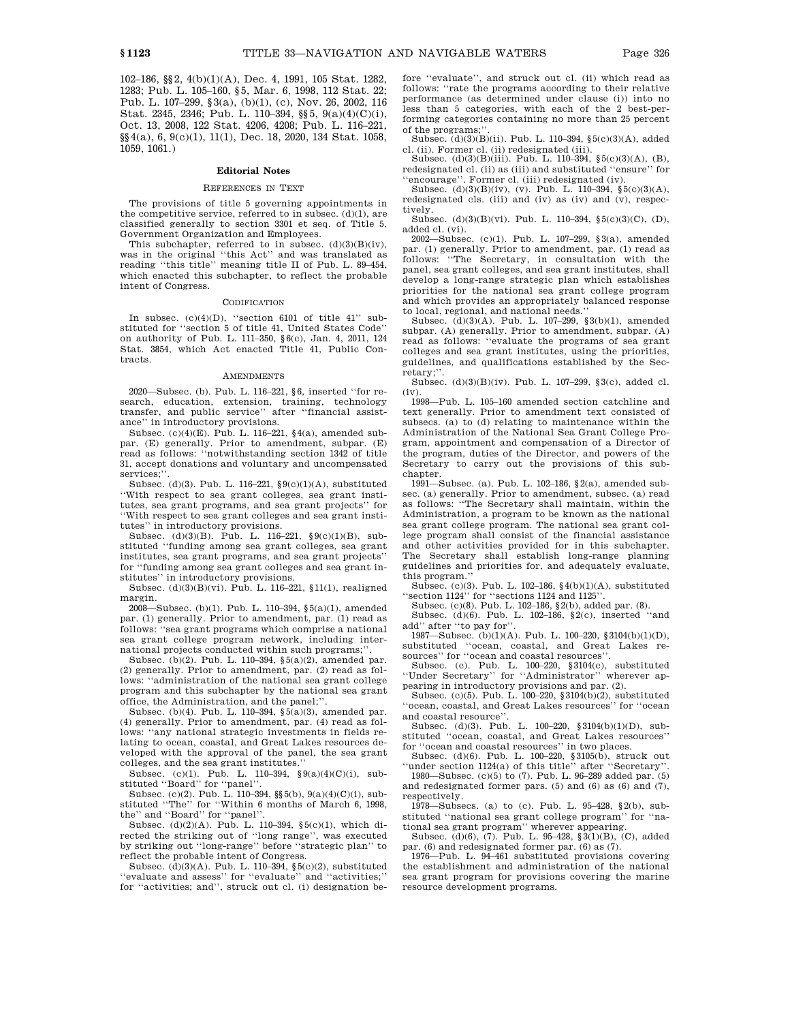102–186, §§2, 4(b)(1)(A), Dec. 4, 1991, 105 Stat. 1282, 1283; Pub. L. 105–160, §5, Mar. 6, 1998, 112 Stat. 22; Pub. L. 107–299, §3(a), (b)(1), (c), Nov. 26, 2002, 116 Stat. 2345, 2346; Pub. L. 110–394, §§5, 9(a)(4)(C)(i), Oct. 13, 2008, 122 Stat. 4206, 4208; Pub. L. 116–221, §§4(a), 6, 9(c)(1), 11(1), Dec. 18, 2020, 134 Stat. 1058, 1059, 1061.)

# **Editorial Notes**

### REFERENCES IN TEXT

The provisions of title 5 governing appointments in the competitive service, referred to in subsec. (d)(1), are classified generally to section 3301 et seq. of Title 5, Government Organization and Employees.

This subchapter, referred to in subsec. (d)(3)(B)(iv), was in the original ''this Act'' and was translated as reading ''this title'' meaning title II of Pub. L. 89–454, which enacted this subchapter, to reflect the probable intent of Congress.

#### CODIFICATION

In subsec.  $(c)(4)(D)$ , "section 6101 of title 41" substituted for ''section 5 of title 41, United States Code'' on authority of Pub. L. 111–350, §6(c), Jan. 4, 2011, 124 Stat. 3854, which Act enacted Title 41, Public Contracts.

### AMENDMENTS

2020—Subsec. (b). Pub. L. 116–221, §6, inserted ''for research, education, extension, training, technology transfer, and public service'' after ''financial assistance'' in introductory provisions.

Subsec. (c)(4)(E). Pub. L. 116–221, §4(a), amended subpar. (E) generally. Prior to amendment, subpar. (E) read as follows: ''notwithstanding section 1342 of title 31, accept donations and voluntary and uncompensated services:'

Subsec. (d)(3). Pub. L. 116–221, §9(c)(1)(A), substituted ''With respect to sea grant colleges, sea grant institutes, sea grant programs, and sea grant projects'' for ''With respect to sea grant colleges and sea grant institutes'' in introductory provisions.

Subsec. (d)(3)(B). Pub. L. 116–221, §9(c)(1)(B), substituted ''funding among sea grant colleges, sea grant institutes, sea grant programs, and sea grant projects'' for ''funding among sea grant colleges and sea grant institutes'' in introductory provisions.

Subsec. (d)(3)(B)(vi). Pub. L. 116–221, §11(1), realigned margin.

2008—Subsec. (b)(1). Pub. L. 110–394, §5(a)(1), amended par. (1) generally. Prior to amendment, par. (1) read as follows: ''sea grant programs which comprise a national sea grant college program network, including international projects conducted within such programs;''.

Subsec. (b)(2). Pub. L. 110–394, §5(a)(2), amended par. (2) generally. Prior to amendment, par. (2) read as follows: ''administration of the national sea grant college program and this subchapter by the national sea grant office, the Administration, and the panel;''.

Subsec. (b)(4). Pub. L. 110–394, §5(a)(3), amended par. (4) generally. Prior to amendment, par. (4) read as follows: ''any national strategic investments in fields relating to ocean, coastal, and Great Lakes resources developed with the approval of the panel, the sea grant colleges, and the sea grant institutes.''

Subsec. (c)(1). Pub. L. 110-394,  $\S(2a)(4)(C)(i)$ , substituted ''Board'' for ''panel''.

Subsec. (c)(2). Pub. L. 110–394, §§5(b), 9(a)(4)(C)(i), substituted ''The'' for ''Within 6 months of March 6, 1998, the" and "Board" for "panel"

Subsec. (d)(2)(A). Pub. L. 110–394, §5(c)(1), which directed the striking out of "long range", was executed by striking out ''long-range'' before ''strategic plan'' to reflect the probable intent of Congress.

Subsec. (d)(3)(A). Pub. L. 110–394, §5(c)(2), substituted "evaluate and assess" for "evaluate" and "activities;" for ''activities; and'', struck out cl. (i) designation before ''evaluate'', and struck out cl. (ii) which read as follows: ''rate the programs according to their relative performance (as determined under clause (i)) into no less than 5 categories, with each of the 2 best-performing categories containing no more than 25 percent of the programs;'

Subsec. (d)(3)(B)(ii). Pub. L. 110–394, §5(c)(3)(A), added cl. (ii). Former cl. (ii) redesignated (iii).

Subsec. (d)(3)(B)(iii). Pub. L. 110–394, §5(c)(3)(A), (B), redesignated cl. (ii) as (iii) and substituted ''ensure'' for ''encourage''. Former cl. (iii) redesignated (iv).

Subsec.  $(d)(3)(B)(iv)$ , (v). Pub. L. 110-394,  $§5(c)(3)(A)$ , redesignated cls. (iii) and (iv) as (iv) and (v), respectively.

Subsec. (d)(3)(B)(vi). Pub. L. 110–394, §5(c)(3)(C), (D), added cl. (vi).

2002—Subsec. (c)(1). Pub. L. 107–299, §3(a), amended par. (1) generally. Prior to amendment, par. (1) read as follows: ''The Secretary, in consultation with the panel, sea grant colleges, and sea grant institutes, shall develop a long-range strategic plan which establishes priorities for the national sea grant college program and which provides an appropriately balanced response

to local, regional, and national needs.'' Subsec. (d)(3)(A). Pub. L. 107–299, §3(b)(1), amended subpar. (A) generally. Prior to amendment, subpar. (A) read as follows: ''evaluate the programs of sea grant colleges and sea grant institutes, using the priorities, guidelines, and qualifications established by the Secretary;''.

Subsec. (d)(3)(B)(iv). Pub. L. 107–299, §3(c), added cl. (iv).

1998—Pub. L. 105–160 amended section catchline and text generally. Prior to amendment text consisted of subsecs. (a) to (d) relating to maintenance within the Administration of the National Sea Grant College Program, appointment and compensation of a Director of the program, duties of the Director, and powers of the Secretary to carry out the provisions of this subchapter.

1991—Subsec. (a). Pub. L. 102–186, §2(a), amended subsec. (a) generally. Prior to amendment, subsec. (a) read as follows: ''The Secretary shall maintain, within the Administration, a program to be known as the national sea grant college program. The national sea grant college program shall consist of the financial assistance and other activities provided for in this subchapter. The Secretary shall establish long-range planning guidelines and priorities for, and adequately evaluate, this program.''

Subsec. (c)(3). Pub. L. 102–186, §4(b)(1)(A), substituted 'section 1124" for "sections 1124 and 1125"

Subsec. (c)(8). Pub. L. 102–186, §2(b), added par. (8).

Subsec. (d)(6). Pub. L. 102–186, §2(c), inserted ''and add'' after ''to pay for''.

1987—Subsec. (b)(1)(A). Pub. L. 100–220, §3104(b)(1)(D), substituted ''ocean, coastal, and Great Lakes resources'' for ''ocean and coastal resources''.

Subsec. (c). Pub. L. 100–220, §3104(c), substituted ''Under Secretary'' for ''Administrator'' wherever appearing in introductory provisions and par. (2).

Subsec.  $(c)(5)$ . Pub. L. 100–220, §3104(b)(2), substituted 'ocean, coastal, and Great Lakes resources'' for "ocean and coastal resource'

Subsec. (d)(3). Pub. L. 100–220, §3104(b)(1)(D), substituted ''ocean, coastal, and Great Lakes resources'' for ''ocean and coastal resources'' in two places.

Subsec. (d)(6). Pub. L. 100–220, §3105(b), struck out ''under section 1124(a) of this title'' after ''Secretary''.

1980—Subsec. (c)(5) to (7). Pub. L. 96–289 added par. (5) and redesignated former pars. (5) and (6) as (6) and (7), respectively.

1978—Subsecs. (a) to (c). Pub. L. 95–428, §2(b), substituted ''national sea grant college program'' for ''na-

tional sea grant program'' wherever appearing. Subsec. (d)(6), (7). Pub. L. 95–428, §3(1)(B), (C), added par. (6) and redesignated former par. (6) as (7).

1976—Pub. L. 94–461 substituted provisions covering the establishment and administration of the national sea grant program for provisions covering the marine resource development programs.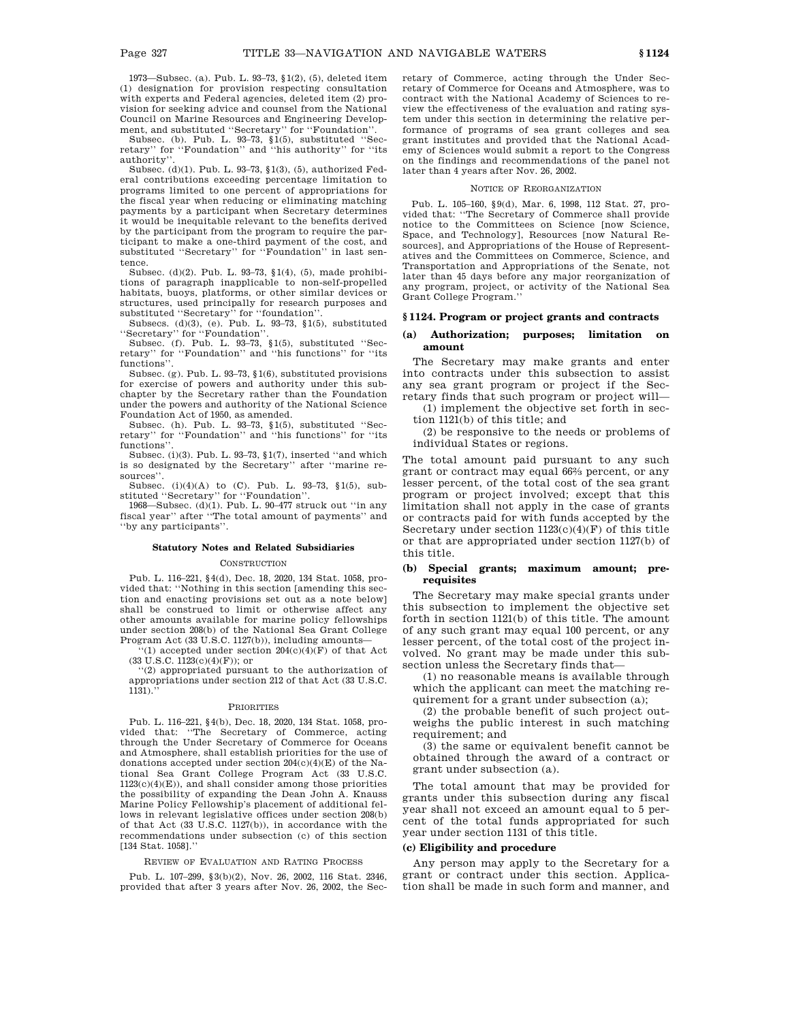1973—Subsec. (a). Pub. L. 93–73, §1(2), (5), deleted item (1) designation for provision respecting consultation with experts and Federal agencies, deleted item (2) provision for seeking advice and counsel from the National Council on Marine Resources and Engineering Development, and substituted "Secretary" for "Foundation"

Subsec. (b). Pub. L. 93–73,  $\S1(5)$ , substituted "Secretary'' for ''Foundation'' and ''his authority'' for ''its authority''.

Subsec. (d)(1). Pub. L. 93–73, §1(3), (5), authorized Federal contributions exceeding percentage limitation to programs limited to one percent of appropriations for the fiscal year when reducing or eliminating matching payments by a participant when Secretary determines it would be inequitable relevant to the benefits derived by the participant from the program to require the participant to make a one-third payment of the cost, and substituted ''Secretary'' for ''Foundation'' in last sentence.

Subsec. (d)(2). Pub. L. 93–73, §1(4), (5), made prohibitions of paragraph inapplicable to non-self-propelled habitats, buoys, platforms, or other similar devices or structures, used principally for research purposes and substituted ''Secretary'' for ''foundation''. Subsecs. (d)(3), (e). Pub. L. 93–73, §1(5), substituted

''Secretary'' for ''Foundation''.

Subsec. (f). Pub. L. 93–73, §1(5), substituted ''Secretary'' for ''Foundation'' and ''his functions'' for ''its functions''.

Subsec. (g). Pub. L. 93–73, §1(6), substituted provisions for exercise of powers and authority under this subchapter by the Secretary rather than the Foundation under the powers and authority of the National Science Foundation Act of 1950, as amended.

Subsec. (h). Pub. L. 93–73, §1(5), substituted ''Secretary'' for ''Foundation'' and ''his functions'' for ''its functions''.

Subsec. (i)(3). Pub. L. 93–73, §1(7), inserted ''and which is so designated by the Secretary'' after ''marine resources''.

Subsec.  $(i)(4)(A)$  to  $(C)$ . Pub. L. 93-73, §1(5), sub-

stituted ''Secretary'' for ''Foundation''. 1968—Subsec. (d)(1). Pub. L. 90–477 struck out ''in any fiscal year'' after ''The total amount of payments'' and

# **Statutory Notes and Related Subsidiaries**

''by any participants''.

#### **CONSTRUCTION**

Pub. L. 116–221, §4(d), Dec. 18, 2020, 134 Stat. 1058, provided that: ''Nothing in this section [amending this section and enacting provisions set out as a note below] shall be construed to limit or otherwise affect any other amounts available for marine policy fellowships under section 208(b) of the National Sea Grant College Program Act (33 U.S.C. 1127(b)), including amounts—

 $(1)$  accepted under section 204 $(c)(4)(F)$  of that Act (33 U.S.C. 1123(c)(4)(F)); or

''(2) appropriated pursuant to the authorization of appropriations under section 212 of that Act (33 U.S.C.  $1131$ ).

#### PRIORITIES

Pub. L. 116–221, §4(b), Dec. 18, 2020, 134 Stat. 1058, provided that: ''The Secretary of Commerce, acting through the Under Secretary of Commerce for Oceans and Atmosphere, shall establish priorities for the use of donations accepted under section  $204(c)(4)(E)$  of the National Sea Grant College Program Act (33 U.S.C.  $1123(c)(4)(E)$ , and shall consider among those priorities the possibility of expanding the Dean John A. Knauss Marine Policy Fellowship's placement of additional fellows in relevant legislative offices under section 208(b) of that Act (33 U.S.C. 1127(b)), in accordance with the recommendations under subsection (c) of this section [134 Stat. 1058].

### REVIEW OF EVALUATION AND RATING PROCESS

Pub. L. 107–299, §3(b)(2), Nov. 26, 2002, 116 Stat. 2346, provided that after 3 years after Nov. 26, 2002, the Secretary of Commerce, acting through the Under Secretary of Commerce for Oceans and Atmosphere, was to contract with the National Academy of Sciences to review the effectiveness of the evaluation and rating system under this section in determining the relative performance of programs of sea grant colleges and sea grant institutes and provided that the National Academy of Sciences would submit a report to the Congress on the findings and recommendations of the panel not later than 4 years after Nov. 26, 2002.

### NOTICE OF REORGANIZATION

Pub. L. 105–160, §9(d), Mar. 6, 1998, 112 Stat. 27, provided that: ''The Secretary of Commerce shall provide notice to the Committees on Science [now Science, Space, and Technology], Resources [now Natural Resources], and Appropriations of the House of Representatives and the Committees on Commerce, Science, and Transportation and Appropriations of the Senate, not later than 45 days before any major reorganization of any program, project, or activity of the National Sea Grant College Program.''

# **§ 1124. Program or project grants and contracts**

# **(a) Authorization; purposes; limitation on amount**

The Secretary may make grants and enter into contracts under this subsection to assist any sea grant program or project if the Secretary finds that such program or project will—

(1) implement the objective set forth in section 1121(b) of this title; and

(2) be responsive to the needs or problems of individual States or regions.

The total amount paid pursuant to any such grant or contract may equal 662 ⁄3 percent, or any lesser percent, of the total cost of the sea grant program or project involved; except that this limitation shall not apply in the case of grants or contracts paid for with funds accepted by the Secretary under section  $1123(c)(4)(F)$  of this title or that are appropriated under section 1127(b) of this title.

# **(b) Special grants; maximum amount; prerequisites**

The Secretary may make special grants under this subsection to implement the objective set forth in section 1121(b) of this title. The amount of any such grant may equal 100 percent, or any lesser percent, of the total cost of the project involved. No grant may be made under this subsection unless the Secretary finds that—

(1) no reasonable means is available through which the applicant can meet the matching requirement for a grant under subsection (a);

(2) the probable benefit of such project outweighs the public interest in such matching requirement; and

(3) the same or equivalent benefit cannot be obtained through the award of a contract or grant under subsection (a).

The total amount that may be provided for grants under this subsection during any fiscal year shall not exceed an amount equal to 5 percent of the total funds appropriated for such year under section 1131 of this title.

### **(c) Eligibility and procedure**

Any person may apply to the Secretary for a grant or contract under this section. Application shall be made in such form and manner, and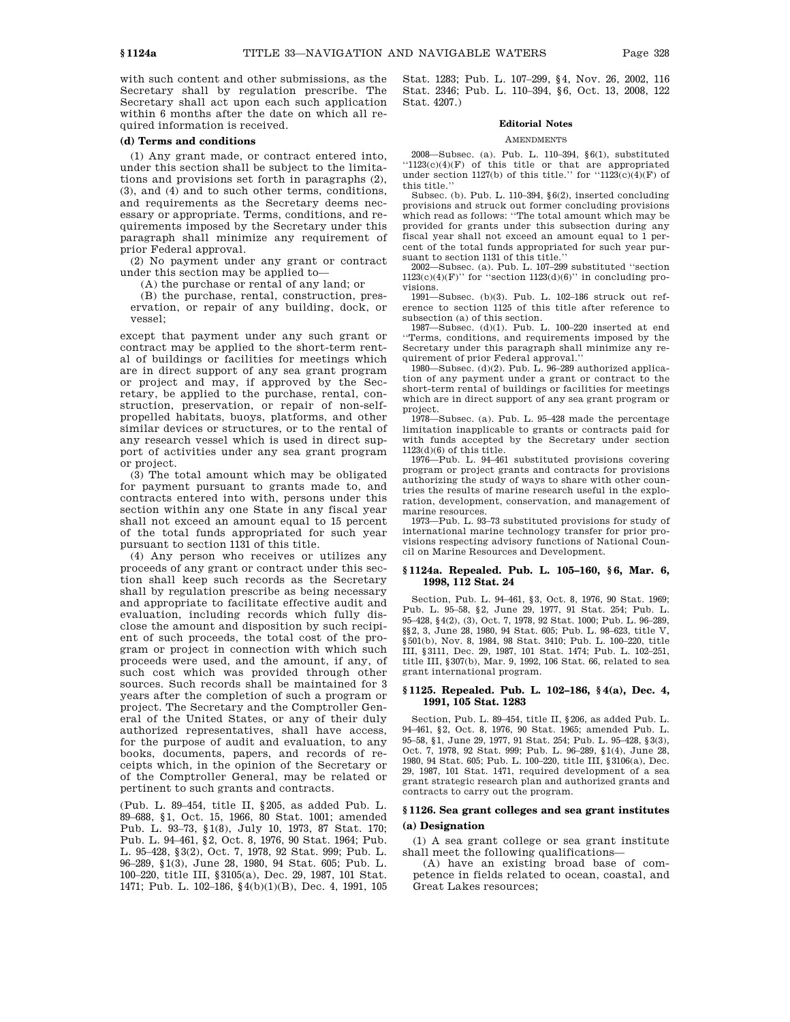with such content and other submissions, as the Secretary shall by regulation prescribe. The Secretary shall act upon each such application within 6 months after the date on which all required information is received.

# **(d) Terms and conditions**

(1) Any grant made, or contract entered into, under this section shall be subject to the limitations and provisions set forth in paragraphs (2), (3), and (4) and to such other terms, conditions, and requirements as the Secretary deems necessary or appropriate. Terms, conditions, and requirements imposed by the Secretary under this paragraph shall minimize any requirement of prior Federal approval.

(2) No payment under any grant or contract under this section may be applied to—

(A) the purchase or rental of any land; or

(B) the purchase, rental, construction, preservation, or repair of any building, dock, or vessel;

except that payment under any such grant or contract may be applied to the short-term rental of buildings or facilities for meetings which are in direct support of any sea grant program or project and may, if approved by the Secretary, be applied to the purchase, rental, construction, preservation, or repair of non-selfpropelled habitats, buoys, platforms, and other similar devices or structures, or to the rental of any research vessel which is used in direct support of activities under any sea grant program or project.

(3) The total amount which may be obligated for payment pursuant to grants made to, and contracts entered into with, persons under this section within any one State in any fiscal year shall not exceed an amount equal to 15 percent of the total funds appropriated for such year pursuant to section 1131 of this title.

(4) Any person who receives or utilizes any proceeds of any grant or contract under this section shall keep such records as the Secretary shall by regulation prescribe as being necessary and appropriate to facilitate effective audit and evaluation, including records which fully disclose the amount and disposition by such recipient of such proceeds, the total cost of the program or project in connection with which such proceeds were used, and the amount, if any, of such cost which was provided through other sources. Such records shall be maintained for 3 years after the completion of such a program or project. The Secretary and the Comptroller General of the United States, or any of their duly authorized representatives, shall have access, for the purpose of audit and evaluation, to any books, documents, papers, and records of receipts which, in the opinion of the Secretary or of the Comptroller General, may be related or pertinent to such grants and contracts.

(Pub. L. 89–454, title II, §205, as added Pub. L. 89–688, §1, Oct. 15, 1966, 80 Stat. 1001; amended Pub. L. 93–73, §1(8), July 10, 1973, 87 Stat. 170; Pub. L. 94–461, §2, Oct. 8, 1976, 90 Stat. 1964; Pub. L. 95–428, §3(2), Oct. 7, 1978, 92 Stat. 999; Pub. L. 96–289, §1(3), June 28, 1980, 94 Stat. 605; Pub. L. 100–220, title III, §3105(a), Dec. 29, 1987, 101 Stat. 1471; Pub. L. 102–186, §4(b)(1)(B), Dec. 4, 1991, 105

Stat. 1283; Pub. L. 107–299, §4, Nov. 26, 2002, 116 Stat. 2346; Pub. L. 110–394, §6, Oct. 13, 2008, 122 Stat. 4207.)

# **Editorial Notes**

#### **AMENDMENTS**

2008—Subsec. (a). Pub. L. 110–394, §6(1), substituted  $^{\prime\prime}$ 1123(c)(4)(F) of this title or that are appropriated under section 1127(b) of this title." for " $1123(c)(4)(F)$  of this title.''

Subsec. (b). Pub. L. 110-394,  $\S6(2)$ , inserted concluding provisions and struck out former concluding provisions which read as follows: ''The total amount which may be provided for grants under this subsection during any fiscal year shall not exceed an amount equal to 1 percent of the total funds appropriated for such year pursuant to section 1131 of this title.''

2002—Subsec. (a). Pub. L. 107–299 substituted ''section  $1123(c)(4)(F)$ '' for ''section  $1123(d)(6)$ '' in concluding provisions.

1991—Subsec. (b)(3). Pub. L. 102–186 struck out reference to section 1125 of this title after reference to subsection (a) of this section.

1987—Subsec. (d)(1). Pub. L. 100–220 inserted at end ''Terms, conditions, and requirements imposed by the Secretary under this paragraph shall minimize any requirement of prior Federal approval.''

1980—Subsec. (d)(2). Pub. L. 96–289 authorized application of any payment under a grant or contract to the short-term rental of buildings or facilities for meetings which are in direct support of any sea grant program or project.

1978—Subsec. (a). Pub. L. 95–428 made the percentage limitation inapplicable to grants or contracts paid for with funds accepted by the Secretary under section  $1123(d)(6)$  of this title.

1976—Pub. L. 94–461 substituted provisions covering program or project grants and contracts for provisions authorizing the study of ways to share with other countries the results of marine research useful in the exploration, development, conservation, and management of marine resources.

1973—Pub. L. 93–73 substituted provisions for study of international marine technology transfer for prior provisions respecting advisory functions of National Council on Marine Resources and Development.

# **§ 1124a. Repealed. Pub. L. 105–160, § 6, Mar. 6, 1998, 112 Stat. 24**

Section, Pub. L. 94–461, §3, Oct. 8, 1976, 90 Stat. 1969; Pub. L. 95–58, §2, June 29, 1977, 91 Stat. 254; Pub. L. 95–428, §4(2), (3), Oct. 7, 1978, 92 Stat. 1000; Pub. L. 96–289, §§2, 3, June 28, 1980, 94 Stat. 605; Pub. L. 98–623, title V, §501(b), Nov. 8, 1984, 98 Stat. 3410; Pub. L. 100-220, title III, §3111, Dec. 29, 1987, 101 Stat. 1474; Pub. L. 102–251, title III, §307(b), Mar. 9, 1992, 106 Stat. 66, related to sea grant international program.

# **§ 1125. Repealed. Pub. L. 102–186, § 4(a), Dec. 4, 1991, 105 Stat. 1283**

Section, Pub. L. 89–454, title II, §206, as added Pub. L. 94–461, §2, Oct. 8, 1976, 90 Stat. 1965; amended Pub. L. 95–58, §1, June 29, 1977, 91 Stat. 254; Pub. L. 95–428, §3(3), Oct. 7, 1978, 92 Stat. 999; Pub. L. 96–289, §1(4), June 28, 1980, 94 Stat. 605; Pub. L. 100–220, title III, §3106(a), Dec. 29, 1987, 101 Stat. 1471, required development of a sea grant strategic research plan and authorized grants and contracts to carry out the program.

# **§ 1126. Sea grant colleges and sea grant institutes (a) Designation**

(1) A sea grant college or sea grant institute shall meet the following qualifications—

(A) have an existing broad base of competence in fields related to ocean, coastal, and Great Lakes resources;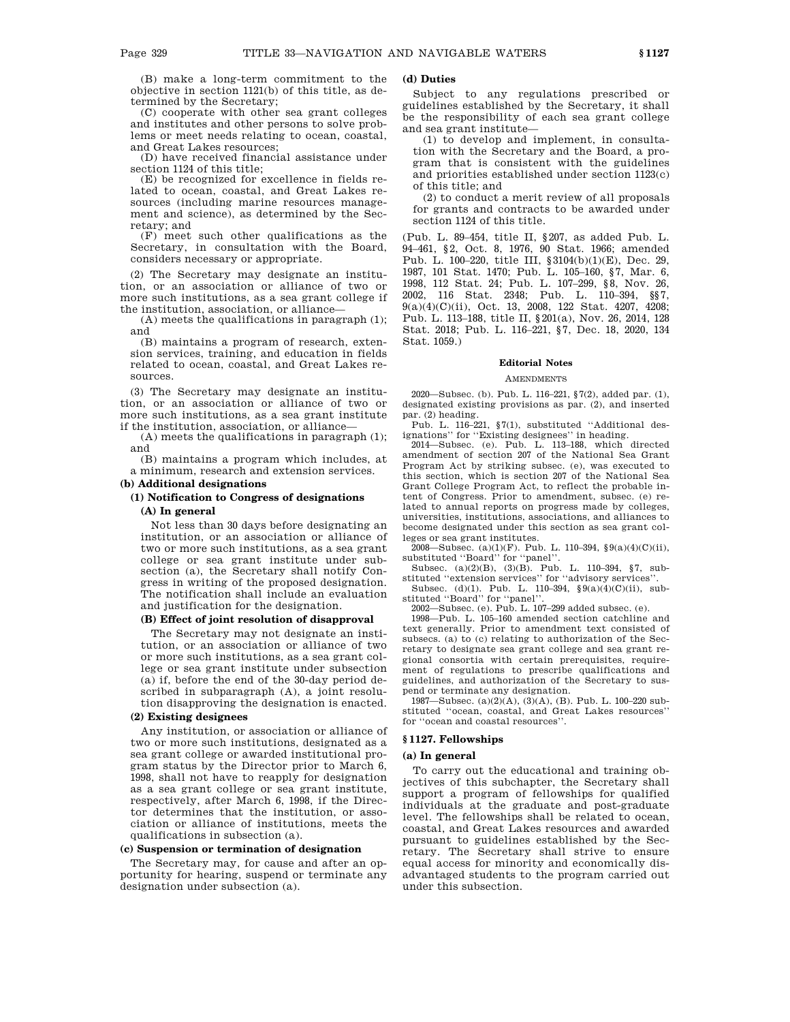(B) make a long-term commitment to the objective in section 1121(b) of this title, as determined by the Secretary;

(C) cooperate with other sea grant colleges and institutes and other persons to solve problems or meet needs relating to ocean, coastal, and Great Lakes resources;

(D) have received financial assistance under section 1124 of this title;

(E) be recognized for excellence in fields related to ocean, coastal, and Great Lakes resources (including marine resources management and science), as determined by the Secretary; and

(F) meet such other qualifications as the Secretary, in consultation with the Board, considers necessary or appropriate.

(2) The Secretary may designate an institution, or an association or alliance of two or more such institutions, as a sea grant college if the institution, association, or alliance—

(A) meets the qualifications in paragraph (1); and

(B) maintains a program of research, extension services, training, and education in fields related to ocean, coastal, and Great Lakes resources.

(3) The Secretary may designate an institution, or an association or alliance of two or more such institutions, as a sea grant institute if the institution, association, or alliance—

(A) meets the qualifications in paragraph (1); and

(B) maintains a program which includes, at a minimum, research and extension services.

# **(b) Additional designations**

# **(1) Notification to Congress of designations (A) In general**

Not less than 30 days before designating an institution, or an association or alliance of two or more such institutions, as a sea grant college or sea grant institute under subsection (a), the Secretary shall notify Congress in writing of the proposed designation. The notification shall include an evaluation and justification for the designation.

# **(B) Effect of joint resolution of disapproval**

The Secretary may not designate an institution, or an association or alliance of two or more such institutions, as a sea grant college or sea grant institute under subsection (a) if, before the end of the 30-day period described in subparagraph (A), a joint resolution disapproving the designation is enacted.

# **(2) Existing designees**

Any institution, or association or alliance of two or more such institutions, designated as a sea grant college or awarded institutional program status by the Director prior to March 6, 1998, shall not have to reapply for designation as a sea grant college or sea grant institute, respectively, after March 6, 1998, if the Director determines that the institution, or association or alliance of institutions, meets the qualifications in subsection (a).

# **(c) Suspension or termination of designation**

The Secretary may, for cause and after an opportunity for hearing, suspend or terminate any designation under subsection (a).

# **(d) Duties**

Subject to any regulations prescribed or guidelines established by the Secretary, it shall be the responsibility of each sea grant college and sea grant institute—

(1) to develop and implement, in consultation with the Secretary and the Board, a program that is consistent with the guidelines and priorities established under section 1123(c) of this title; and

(2) to conduct a merit review of all proposals for grants and contracts to be awarded under section 1124 of this title.

(Pub. L. 89–454, title II, §207, as added Pub. L. 94–461, §2, Oct. 8, 1976, 90 Stat. 1966; amended Pub. L. 100–220, title III, §3104(b)(1)(E), Dec. 29, 1987, 101 Stat. 1470; Pub. L. 105–160, §7, Mar. 6, 1998, 112 Stat. 24; Pub. L. 107–299, §8, Nov. 26, 2002, 116 Stat. 2348; Pub. L. 110–394, §§7, 9(a)(4)(C)(ii), Oct. 13, 2008, 122 Stat. 4207, 4208; Pub. L. 113–188, title II, §201(a), Nov. 26, 2014, 128 Stat. 2018; Pub. L. 116–221, §7, Dec. 18, 2020, 134 Stat. 1059.)

# **Editorial Notes**

### **AMENDMENTS**

2020—Subsec. (b). Pub. L. 116–221, §7(2), added par. (1), designated existing provisions as par. (2), and inserted par. (2) heading.

Pub. L. 116–221, §7(1), substituted ''Additional designations'' for ''Existing designees'' in heading.

2014—Subsec. (e). Pub. L. 113–188, which directed amendment of section 207 of the National Sea Grant Program Act by striking subsec. (e), was executed to this section, which is section 207 of the National Sea Grant College Program Act, to reflect the probable intent of Congress. Prior to amendment, subsec. (e) related to annual reports on progress made by colleges, universities, institutions, associations, and alliances to become designated under this section as sea grant colleges or sea grant institutes.

2008—Subsec. (a)(1)(F). Pub. L. 110–394, §9(a)(4)(C)(ii), substituted ''Board'' for ''panel''.

Subsec. (a)(2)(B), (3)(B). Pub. L. 110–394, §7, substituted ''extension services'' for ''advisory services''.

Subsec. (d)(1). Pub. L. 110–394,  $\S 9(a)(4)(C)(ii)$ , substituted ''Board'' for ''panel''.

2002—Subsec. (e). Pub. L. 107–299 added subsec. (e).

1998—Pub. L. 105–160 amended section catchline and text generally. Prior to amendment text consisted of subsecs. (a) to (c) relating to authorization of the Secretary to designate sea grant college and sea grant regional consortia with certain prerequisites, requirement of regulations to prescribe qualifications and guidelines, and authorization of the Secretary to suspend or terminate any designation.

1987—Subsec. (a)(2)(A), (3)(A), (B). Pub. L. 100–220 substituted ''ocean, coastal, and Great Lakes resources'' for ''ocean and coastal resources''.

# **§ 1127. Fellowships**

### **(a) In general**

To carry out the educational and training objectives of this subchapter, the Secretary shall support a program of fellowships for qualified individuals at the graduate and post-graduate level. The fellowships shall be related to ocean, coastal, and Great Lakes resources and awarded pursuant to guidelines established by the Secretary. The Secretary shall strive to ensure equal access for minority and economically disadvantaged students to the program carried out under this subsection.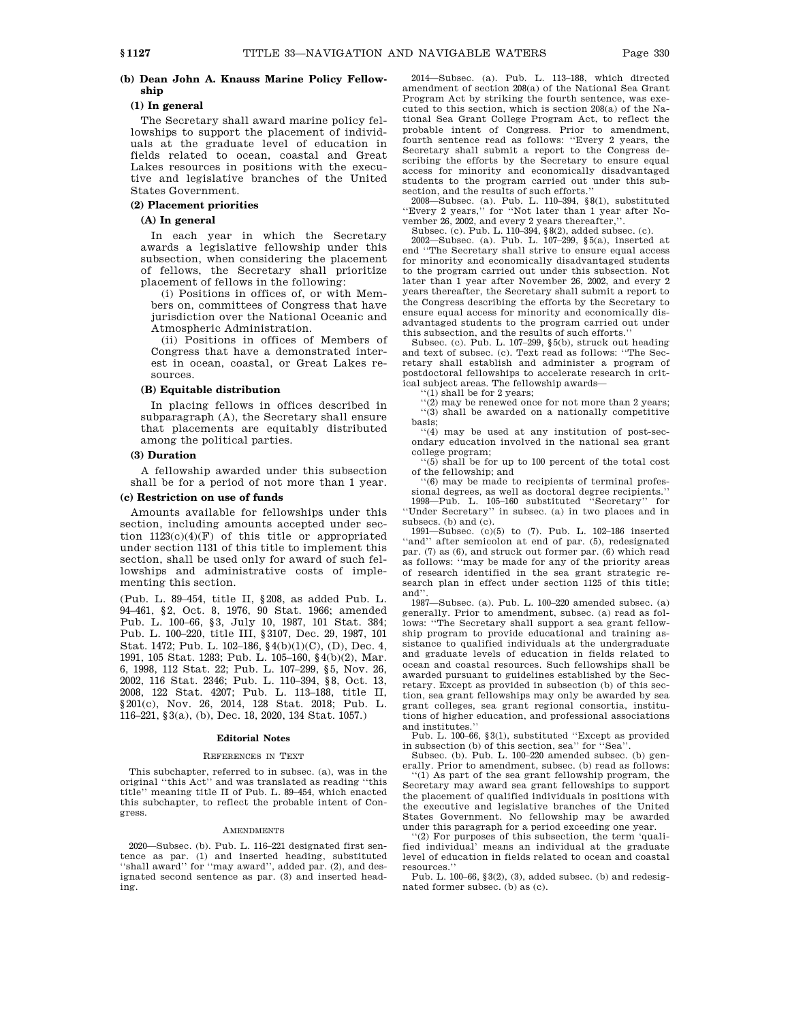# **(b) Dean John A. Knauss Marine Policy Fellowship**

# **(1) In general**

The Secretary shall award marine policy fellowships to support the placement of individuals at the graduate level of education in fields related to ocean, coastal and Great Lakes resources in positions with the executive and legislative branches of the United States Government.

# **(2) Placement priorities**

# **(A) In general**

In each year in which the Secretary awards a legislative fellowship under this subsection, when considering the placement of fellows, the Secretary shall prioritize placement of fellows in the following:

(i) Positions in offices of, or with Members on, committees of Congress that have jurisdiction over the National Oceanic and Atmospheric Administration.

(ii) Positions in offices of Members of Congress that have a demonstrated interest in ocean, coastal, or Great Lakes resources.

# **(B) Equitable distribution**

In placing fellows in offices described in subparagraph (A), the Secretary shall ensure that placements are equitably distributed among the political parties.

### **(3) Duration**

A fellowship awarded under this subsection shall be for a period of not more than 1 year.

# **(c) Restriction on use of funds**

Amounts available for fellowships under this section, including amounts accepted under section 1123(c)(4)(F) of this title or appropriated under section 1131 of this title to implement this section, shall be used only for award of such fellowships and administrative costs of implementing this section.

(Pub. L. 89–454, title II, §208, as added Pub. L. 94–461, §2, Oct. 8, 1976, 90 Stat. 1966; amended Pub. L. 100–66, §3, July 10, 1987, 101 Stat. 384; Pub. L. 100–220, title III, §3107, Dec. 29, 1987, 101 Stat. 1472; Pub. L. 102–186, §4(b)(1)(C), (D), Dec. 4, 1991, 105 Stat. 1283; Pub. L. 105–160, §4(b)(2), Mar. 6, 1998, 112 Stat. 22; Pub. L. 107–299, §5, Nov. 26, 2002, 116 Stat. 2346; Pub. L. 110–394, §8, Oct. 13, 2008, 122 Stat. 4207; Pub. L. 113–188, title II, §201(c), Nov. 26, 2014, 128 Stat. 2018; Pub. L. 116–221, §3(a), (b), Dec. 18, 2020, 134 Stat. 1057.)

### **Editorial Notes**

### REFERENCES IN TEXT

This subchapter, referred to in subsec. (a), was in the original ''this Act'' and was translated as reading ''this title'' meaning title II of Pub. L. 89–454, which enacted this subchapter, to reflect the probable intent of Congress.

# AMENDMENTS

2020—Subsec. (b). Pub. L. 116–221 designated first sentence as par. (1) and inserted heading, substituted ''shall award'' for ''may award'', added par. (2), and designated second sentence as par. (3) and inserted heading.

2014—Subsec. (a). Pub. L. 113–188, which directed amendment of section 208(a) of the National Sea Grant Program Act by striking the fourth sentence, was executed to this section, which is section 208(a) of the National Sea Grant College Program Act, to reflect the probable intent of Congress. Prior to amendment, fourth sentence read as follows: ''Every 2 years, the Secretary shall submit a report to the Congress describing the efforts by the Secretary to ensure equal access for minority and economically disadvantaged students to the program carried out under this subsection, and the results of such efforts.

2008—Subsec. (a). Pub. L. 110–394, §8(1), substituted ''Every 2 years,'' for ''Not later than 1 year after November 26, 2002, and every 2 years thereafter,'

Subsec. (c). Pub. L. 110–394, §8(2), added subsec. (c). 2002—Subsec. (a). Pub. L. 107–299, §5(a), inserted at end ''The Secretary shall strive to ensure equal access for minority and economically disadvantaged students to the program carried out under this subsection. Not later than 1 year after November 26, 2002, and every 2 years thereafter, the Secretary shall submit a report to the Congress describing the efforts by the Secretary to ensure equal access for minority and economically disadvantaged students to the program carried out under this subsection, and the results of such efforts.

Subsec. (c). Pub. L. 107–299, §5(b), struck out heading and text of subsec. (c). Text read as follows: ''The Secretary shall establish and administer a program of postdoctoral fellowships to accelerate research in critical subject areas. The fellowship awards— ''(1) shall be for 2 years;

''(2) may be renewed once for not more than 2 years; ''(3) shall be awarded on a nationally competitive basis;

''(4) may be used at any institution of post-secondary education involved in the national sea grant college program;

''(5) shall be for up to 100 percent of the total cost of the fellowship; and

''(6) may be made to recipients of terminal professional degrees, as well as doctoral degree recipients.'' 1998—Pub. L. 105–160 substituted ''Secretary'' for

''Under Secretary'' in subsec. (a) in two places and in subsecs. (b) and (c).

1991—Subsec. (c)(5) to (7). Pub. L. 102–186 inserted ''and'' after semicolon at end of par. (5), redesignated par. (7) as (6), and struck out former par. (6) which read as follows: ''may be made for any of the priority areas of research identified in the sea grant strategic research plan in effect under section 1125 of this title; and'

1987—Subsec. (a). Pub. L. 100–220 amended subsec. (a) generally. Prior to amendment, subsec. (a) read as follows: ''The Secretary shall support a sea grant fellowship program to provide educational and training assistance to qualified individuals at the undergraduate and graduate levels of education in fields related to ocean and coastal resources. Such fellowships shall be awarded pursuant to guidelines established by the Secretary. Except as provided in subsection (b) of this section, sea grant fellowships may only be awarded by sea grant colleges, sea grant regional consortia, institutions of higher education, and professional associations and institutes.''

Pub. L. 100–66, §3(1), substituted ''Except as provided in subsection (b) of this section, sea" for "Sea'

Subsec. (b). Pub. L. 100–220 amended subsec. (b) generally. Prior to amendment, subsec. (b) read as follows:

''(1) As part of the sea grant fellowship program, the Secretary may award sea grant fellowships to support the placement of qualified individuals in positions with the executive and legislative branches of the United States Government. No fellowship may be awarded under this paragraph for a period exceeding one year.

''(2) For purposes of this subsection, the term 'qualified individual' means an individual at the graduate level of education in fields related to ocean and coastal resources.

Pub. L. 100–66, §3(2), (3), added subsec. (b) and redesignated former subsec. (b) as (c).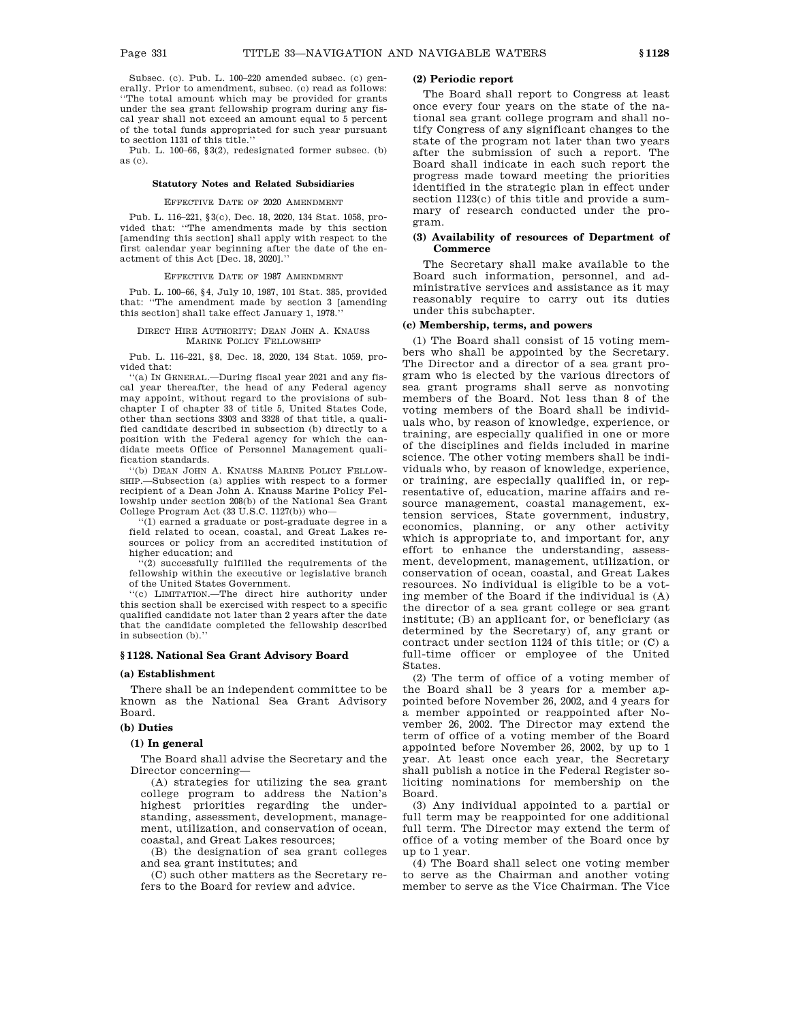Subsec. (c). Pub. L. 100–220 amended subsec. (c) generally. Prior to amendment, subsec. (c) read as follows: ''The total amount which may be provided for grants under the sea grant fellowship program during any fiscal year shall not exceed an amount equal to 5 percent of the total funds appropriated for such year pursuant to section 1131 of this title.''

Pub. L. 100–66, §3(2), redesignated former subsec. (b) as (c).

# **Statutory Notes and Related Subsidiaries**

### EFFECTIVE DATE OF 2020 AMENDMENT

Pub. L. 116–221, §3(c), Dec. 18, 2020, 134 Stat. 1058, provided that: ''The amendments made by this section [amending this section] shall apply with respect to the first calendar year beginning after the date of the enactment of this Act [Dec. 18, 2020].''

# EFFECTIVE DATE OF 1987 AMENDMENT

Pub. L. 100–66, §4, July 10, 1987, 101 Stat. 385, provided that: ''The amendment made by section 3 [amending this section] shall take effect January 1, 1978.''

### DIRECT HIRE AUTHORITY; DEAN JOHN A. KNAUSS MARINE POLICY FELLOWSHIP

Pub. L. 116–221, §8, Dec. 18, 2020, 134 Stat. 1059, provided that:

''(a) IN GENERAL.—During fiscal year 2021 and any fiscal year thereafter, the head of any Federal agency may appoint, without regard to the provisions of subchapter I of chapter 33 of title 5, United States Code, other than sections 3303 and 3328 of that title, a qualified candidate described in subsection (b) directly to a position with the Federal agency for which the candidate meets Office of Personnel Management qualification standards.

'(b) DEAN JOHN A. KNAUSS MARINE POLICY FELLOW-SHIP.—Subsection (a) applies with respect to a former recipient of a Dean John A. Knauss Marine Policy Fellowship under section 208(b) of the National Sea Grant College Program Act (33 U.S.C. 1127(b)) who—

''(1) earned a graduate or post-graduate degree in a field related to ocean, coastal, and Great Lakes resources or policy from an accredited institution of higher education; and

 $(2)$  successfully fulfilled the requirements of the fellowship within the executive or legislative branch of the United States Government.

'(c) LIMITATION.-The direct hire authority under this section shall be exercised with respect to a specific qualified candidate not later than 2 years after the date that the candidate completed the fellowship described in subsection (b).''

# **§ 1128. National Sea Grant Advisory Board**

#### **(a) Establishment**

There shall be an independent committee to be known as the National Sea Grant Advisory Board.

# **(b) Duties**

# **(1) In general**

The Board shall advise the Secretary and the Director concerning—

(A) strategies for utilizing the sea grant college program to address the Nation's highest priorities regarding the understanding, assessment, development, management, utilization, and conservation of ocean, coastal, and Great Lakes resources;

(B) the designation of sea grant colleges and sea grant institutes; and

(C) such other matters as the Secretary refers to the Board for review and advice.

# **(2) Periodic report**

The Board shall report to Congress at least once every four years on the state of the national sea grant college program and shall notify Congress of any significant changes to the state of the program not later than two years after the submission of such a report. The Board shall indicate in each such report the progress made toward meeting the priorities identified in the strategic plan in effect under section 1123(c) of this title and provide a summary of research conducted under the program.

# **(3) Availability of resources of Department of Commerce**

The Secretary shall make available to the Board such information, personnel, and administrative services and assistance as it may reasonably require to carry out its duties under this subchapter.

# **(c) Membership, terms, and powers**

(1) The Board shall consist of 15 voting members who shall be appointed by the Secretary. The Director and a director of a sea grant program who is elected by the various directors of sea grant programs shall serve as nonvoting members of the Board. Not less than 8 of the voting members of the Board shall be individuals who, by reason of knowledge, experience, or training, are especially qualified in one or more of the disciplines and fields included in marine science. The other voting members shall be individuals who, by reason of knowledge, experience, or training, are especially qualified in, or representative of, education, marine affairs and resource management, coastal management, extension services, State government, industry, economics, planning, or any other activity which is appropriate to, and important for, any effort to enhance the understanding, assessment, development, management, utilization, or conservation of ocean, coastal, and Great Lakes resources. No individual is eligible to be a voting member of the Board if the individual is (A) the director of a sea grant college or sea grant institute; (B) an applicant for, or beneficiary (as determined by the Secretary) of, any grant or contract under section 1124 of this title; or (C) a full-time officer or employee of the United States.

(2) The term of office of a voting member of the Board shall be 3 years for a member appointed before November 26, 2002, and 4 years for a member appointed or reappointed after November 26, 2002. The Director may extend the term of office of a voting member of the Board appointed before November 26, 2002, by up to 1 year. At least once each year, the Secretary shall publish a notice in the Federal Register soliciting nominations for membership on the Board.

(3) Any individual appointed to a partial or full term may be reappointed for one additional full term. The Director may extend the term of office of a voting member of the Board once by up to 1 year.

(4) The Board shall select one voting member to serve as the Chairman and another voting member to serve as the Vice Chairman. The Vice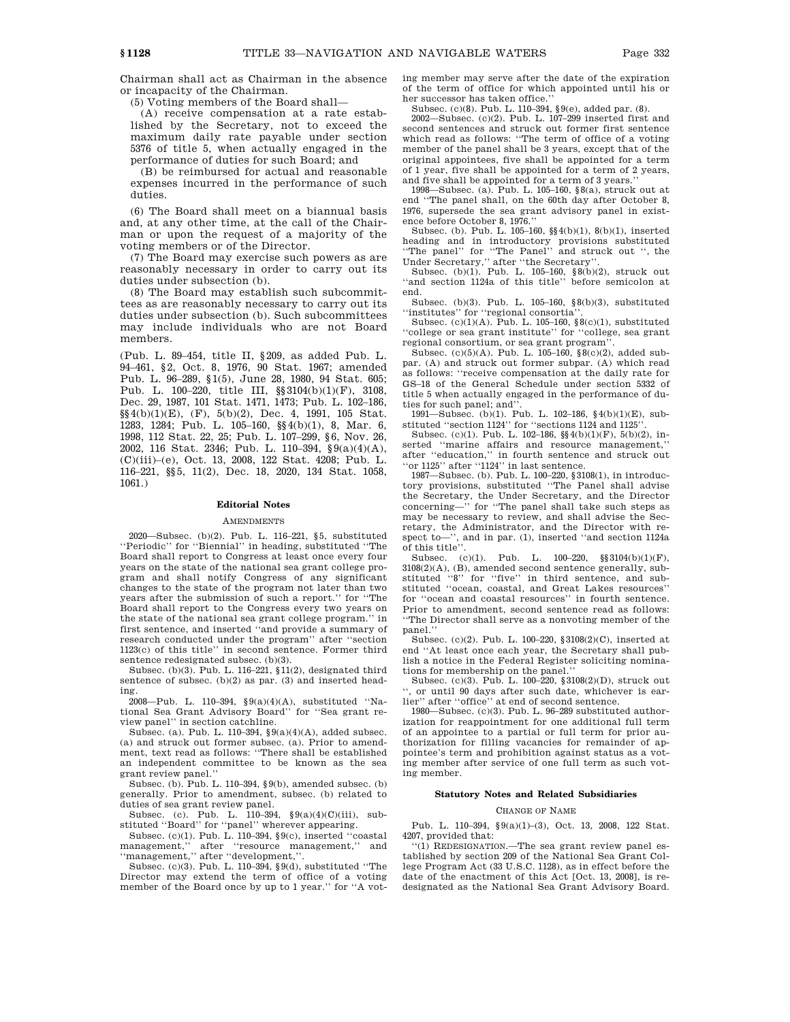Chairman shall act as Chairman in the absence or incapacity of the Chairman.

(5) Voting members of the Board shall—

(A) receive compensation at a rate established by the Secretary, not to exceed the maximum daily rate payable under section 5376 of title 5, when actually engaged in the performance of duties for such Board; and

(B) be reimbursed for actual and reasonable expenses incurred in the performance of such duties.

(6) The Board shall meet on a biannual basis and, at any other time, at the call of the Chairman or upon the request of a majority of the voting members or of the Director.

(7) The Board may exercise such powers as are reasonably necessary in order to carry out its duties under subsection (b).

(8) The Board may establish such subcommittees as are reasonably necessary to carry out its duties under subsection (b). Such subcommittees may include individuals who are not Board members.

(Pub. L. 89–454, title II, §209, as added Pub. L. 94–461, §2, Oct. 8, 1976, 90 Stat. 1967; amended Pub. L. 96–289, §1(5), June 28, 1980, 94 Stat. 605; Pub. L. 100–220, title III, §§3104(b)(1)(F), 3108, Dec. 29, 1987, 101 Stat. 1471, 1473; Pub. L. 102–186, §§4(b)(1)(E), (F), 5(b)(2), Dec. 4, 1991, 105 Stat. 1283, 1284; Pub. L. 105–160, §§4(b)(1), 8, Mar. 6, 1998, 112 Stat. 22, 25; Pub. L. 107–299, §6, Nov. 26, 2002, 116 Stat. 2346; Pub. L. 110–394, §9(a)(4)(A), (C)(iii)–(e), Oct. 13, 2008, 122 Stat. 4208; Pub. L. 116–221, §§5, 11(2), Dec. 18, 2020, 134 Stat. 1058, 1061.)

# **Editorial Notes**

#### **AMENDMENTS**

2020—Subsec. (b)(2). Pub. L. 116–221, §5, substituted ''Periodic'' for ''Biennial'' in heading, substituted ''The Board shall report to Congress at least once every four years on the state of the national sea grant college program and shall notify Congress of any significant changes to the state of the program not later than two years after the submission of such a report.'' for ''The Board shall report to the Congress every two years on the state of the national sea grant college program.'' in first sentence, and inserted ''and provide a summary of research conducted under the program'' after ''section 1123(c) of this title'' in second sentence. Former third sentence redesignated subsec. (b)(3).

Subsec. (b)(3). Pub. L. 116–221, §11(2), designated third sentence of subsec. (b)(2) as par. (3) and inserted heading.

2008—Pub. L. 110–394, §9(a)(4)(A), substituted ''National Sea Grant Advisory Board'' for ''Sea grant review panel'' in section catchline.

Subsec. (a). Pub. L. 110-394,  $\S 9(a)(4)(A)$ , added subsec. (a) and struck out former subsec. (a). Prior to amendment, text read as follows: ''There shall be established an independent committee to be known as the sea grant review panel.''

Subsec. (b). Pub. L. 110–394, §9(b), amended subsec. (b) generally. Prior to amendment, subsec. (b) related to duties of sea grant review panel.

Subsec. (c). Pub. L.  $110-394$ ,  $\S 9(a)(4)(C)(iii)$ , substituted "Board" for "panel" wherever appearing.

Subsec. (c)(1). Pub. L. 110–394, §9(c), inserted ''coastal management,'' after ''resource management,'' and ''management,'' after ''development,''.

Subsec. (c)(3). Pub. L. 110–394,  $\S 9(d),$  substituted ''The Director may extend the term of office of a voting member of the Board once by up to 1 year.'' for ''A voting member may serve after the date of the expiration of the term of office for which appointed until his or her successor has taken office.''

Subsec. (c)(8). Pub. L. 110–394, §9(e), added par. (8).

2002—Subsec. (c)(2). Pub. L. 107–299 inserted first and second sentences and struck out former first sentence which read as follows: ''The term of office of a voting member of the panel shall be 3 years, except that of the original appointees, five shall be appointed for a term of 1 year, five shall be appointed for a term of 2 years, and five shall be appointed for a term of 3 years.''

1998—Subsec. (a). Pub. L. 105–160, §8(a), struck out at end ''The panel shall, on the 60th day after October 8, 1976, supersede the sea grant advisory panel in existence before October 8, 1976.''

Subsec. (b). Pub. L. 105–160, §§4(b)(1), 8(b)(1), inserted heading and in introductory provisions substituted "The panel" for "The Panel" and struck out ", the

Under Secretary," after "the Secretary".<br>
Subsec. (b)(1). Pub. L. 105–160, §8(b)(2), struck out ''and section 1124a of this title'' before semicolon at end.

Subsec. (b)(3). Pub. L. 105–160, §8(b)(3), substituted 'institutes" for "regional consortia"

Subsec. (c)(1)(A). Pub. L. 105–160,  $\S(0)(1)$  , substituted ''college or sea grant institute'' for ''college, sea grant regional consortium, or sea grant program''.

Subsec. (c)(5)(A). Pub. L. 105–160, §8(c)(2), added subpar. (A) and struck out former subpar. (A) which read as follows: ''receive compensation at the daily rate for GS–18 of the General Schedule under section 5332 of title 5 when actually engaged in the performance of duties for such panel; and''.

1991—Subsec. (b)(1). Pub. L. 102–186, §4(b)(1)(E), substituted ''section 1124'' for ''sections 1124 and 1125''.

Subsec. (c)(1). Pub. L. 102–186, §§4(b)(1)(F), 5(b)(2), inserted ''marine affairs and resource management,'' after ''education,'' in fourth sentence and struck out ''or 1125'' after ''1124'' in last sentence.

1987—Subsec. (b). Pub. L. 100–220, §3108(1), in introductory provisions, substituted ''The Panel shall advise the Secretary, the Under Secretary, and the Director concerning—'' for ''The panel shall take such steps as may be necessary to review, and shall advise the Secretary, the Administrator, and the Director with respect to—'', and in par. (1), inserted ''and section 1124a of this title''.

Subsec. (c)(1). Pub. L. 100–220, §§3104(b)(1)(F), 3108(2)(A), (B), amended second sentence generally, substituted "8" for "five" in third sentence, and substituted ''ocean, coastal, and Great Lakes resources'' for ''ocean and coastal resources'' in fourth sentence. Prior to amendment, second sentence read as follows: ''The Director shall serve as a nonvoting member of the panel.''

Subsec. (c)(2). Pub. L. 100–220, §3108(2)(C), inserted at end ''At least once each year, the Secretary shall publish a notice in the Federal Register soliciting nominations for membership on the panel.''

Subsec. (c)(3). Pub. L. 100–220, §3108(2)(D), struck out '', or until 90 days after such date, whichever is earlier'' after ''office'' at end of second sentence.

1980—Subsec. (c)(3). Pub. L. 96–289 substituted authorization for reappointment for one additional full term of an appointee to a partial or full term for prior authorization for filling vacancies for remainder of appointee's term and prohibition against status as a voting member after service of one full term as such voting member.

# **Statutory Notes and Related Subsidiaries**

### CHANGE OF NAME

Pub. L. 110–394, §9(a)(1)–(3), Oct. 13, 2008, 122 Stat. 4207, provided that:

 $(1)$  REDESIGNATION.—The sea grant review panel established by section 209 of the National Sea Grant College Program Act (33 U.S.C. 1128), as in effect before the date of the enactment of this Act [Oct. 13, 2008], is redesignated as the National Sea Grant Advisory Board.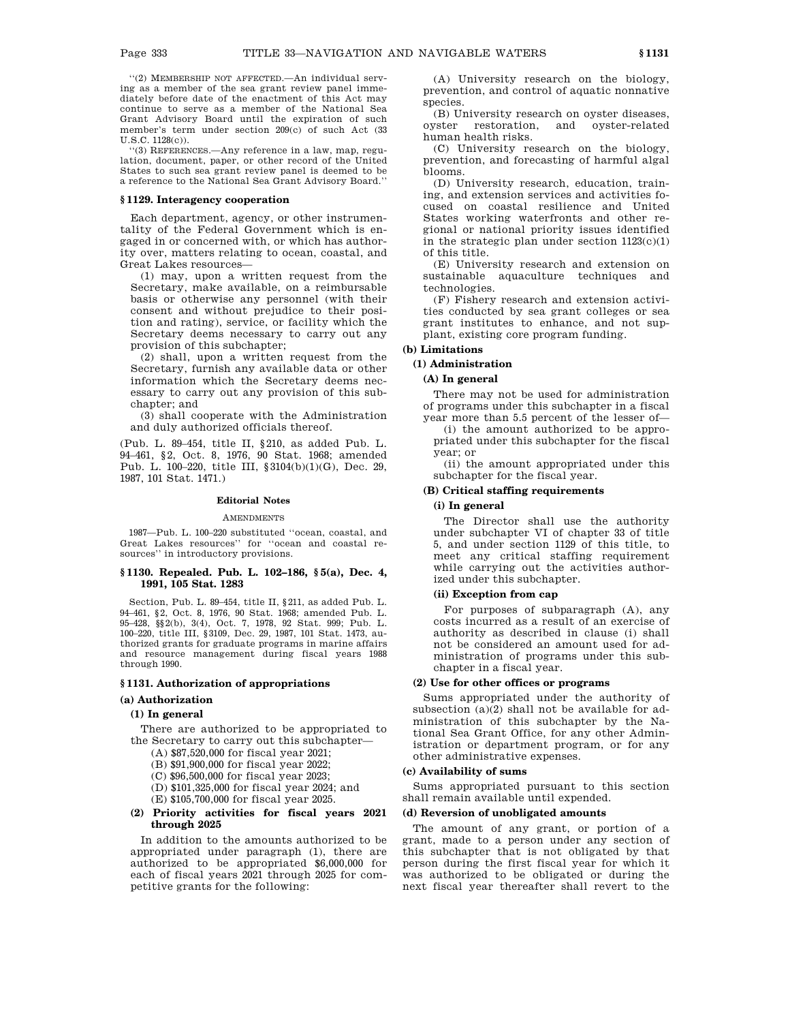''(2) MEMBERSHIP NOT AFFECTED.—An individual serving as a member of the sea grant review panel immediately before date of the enactment of this Act may continue to serve as a member of the National Sea Grant Advisory Board until the expiration of such member's term under section 209(c) of such Act (33 U.S.C. 1128(c)).

'(3) REFERENCES.—Any reference in a law, map, regulation, document, paper, or other record of the United States to such sea grant review panel is deemed to be a reference to the National Sea Grant Advisory Board.''

# **§ 1129. Interagency cooperation**

Each department, agency, or other instrumentality of the Federal Government which is engaged in or concerned with, or which has authority over, matters relating to ocean, coastal, and Great Lakes resources—

(1) may, upon a written request from the Secretary, make available, on a reimbursable basis or otherwise any personnel (with their consent and without prejudice to their position and rating), service, or facility which the Secretary deems necessary to carry out any provision of this subchapter;

(2) shall, upon a written request from the Secretary, furnish any available data or other information which the Secretary deems necessary to carry out any provision of this subchapter; and

(3) shall cooperate with the Administration and duly authorized officials thereof.

(Pub. L. 89–454, title II, §210, as added Pub. L. 94–461, §2, Oct. 8, 1976, 90 Stat. 1968; amended Pub. L. 100–220, title III, §3104(b)(1)(G), Dec. 29, 1987, 101 Stat. 1471.)

### **Editorial Notes**

#### **AMENDMENTS**

1987—Pub. L. 100–220 substituted ''ocean, coastal, and Great Lakes resources'' for ''ocean and coastal resources'' in introductory provisions.

# **§ 1130. Repealed. Pub. L. 102–186, § 5(a), Dec. 4, 1991, 105 Stat. 1283**

Section, Pub. L. 89–454, title II, §211, as added Pub. L. 94–461, §2, Oct. 8, 1976, 90 Stat. 1968; amended Pub. L. 95–428, §§2(b), 3(4), Oct. 7, 1978, 92 Stat. 999; Pub. L. 100–220, title III, §3109, Dec. 29, 1987, 101 Stat. 1473, authorized grants for graduate programs in marine affairs and resource management during fiscal years 1988 through 1990.

# **§ 1131. Authorization of appropriations**

# **(a) Authorization**

# **(1) In general**

There are authorized to be appropriated to the Secretary to carry out this subchapter—

- (A) \$87,520,000 for fiscal year 2021;
- (B) \$91,900,000 for fiscal year 2022;
- (C) \$96,500,000 for fiscal year 2023;
- (D) \$101,325,000 for fiscal year 2024; and
- (E) \$105,700,000 for fiscal year 2025.

# **(2) Priority activities for fiscal years 2021 through 2025**

In addition to the amounts authorized to be appropriated under paragraph (1), there are authorized to be appropriated \$6,000,000 for each of fiscal years 2021 through 2025 for competitive grants for the following:

(A) University research on the biology, prevention, and control of aquatic nonnative species.

(B) University research on oyster diseases,<br>oyster restoration, and oyster-related and oyster-related human health risks.

(C) University research on the biology, prevention, and forecasting of harmful algal blooms.

(D) University research, education, training, and extension services and activities focused on coastal resilience and United States working waterfronts and other regional or national priority issues identified in the strategic plan under section  $1123(c)(1)$ of this title.

(E) University research and extension on sustainable aquaculture techniques and technologies.

(F) Fishery research and extension activities conducted by sea grant colleges or sea grant institutes to enhance, and not supplant, existing core program funding.

# **(b) Limitations**

# **(1) Administration**

# **(A) In general**

There may not be used for administration of programs under this subchapter in a fiscal year more than 5.5 percent of the lesser of—

(i) the amount authorized to be appropriated under this subchapter for the fiscal year; or

(ii) the amount appropriated under this subchapter for the fiscal year.

# **(B) Critical staffing requirements**

# **(i) In general**

The Director shall use the authority under subchapter VI of chapter 33 of title 5, and under section 1129 of this title, to meet any critical staffing requirement while carrying out the activities authorized under this subchapter.

# **(ii) Exception from cap**

For purposes of subparagraph (A), any costs incurred as a result of an exercise of authority as described in clause (i) shall not be considered an amount used for administration of programs under this subchapter in a fiscal year.

# **(2) Use for other offices or programs**

Sums appropriated under the authority of subsection (a)(2) shall not be available for administration of this subchapter by the National Sea Grant Office, for any other Administration or department program, or for any other administrative expenses.

# **(c) Availability of sums**

Sums appropriated pursuant to this section shall remain available until expended.

# **(d) Reversion of unobligated amounts**

The amount of any grant, or portion of a grant, made to a person under any section of this subchapter that is not obligated by that person during the first fiscal year for which it was authorized to be obligated or during the next fiscal year thereafter shall revert to the